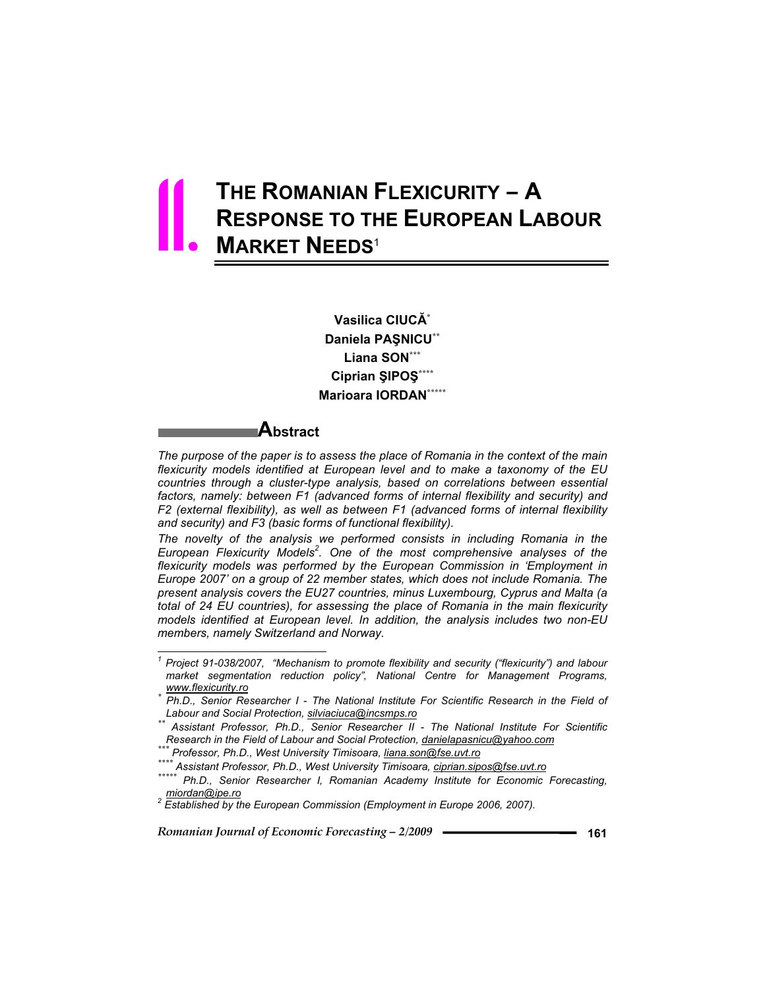# **THE ROMANIAN FLEXICURITY – A RESPONSE TO THE EUROPEAN LABOUR MARKET NEEDS**<sup>1</sup> 11.

**Vasilica CIUC\* Daniela PAŞNICU\*\* Liana SON\*\*\***  $Ciprian$  ŞIPOŞ\*\*\*\* **Marioara IORDAN\*\*\*\*\***

# **Abstract**

 $\overline{a}$ 

*The purpose of the paper is to assess the place of Romania in the context of the main flexicurity models identified at European level and to make a taxonomy of the EU countries through a cluster-type analysis, based on correlations between essential*  factors, namely: between F1 (advanced forms of internal flexibility and security) and *F2 (external flexibility), as well as between F1 (advanced forms of internal flexibility and security) and F3 (basic forms of functional flexibility).* 

*The novelty of the analysis we performed consists in including Romania in the European Flexicurity Models<sup>2</sup> . One of the most comprehensive analyses of the flexicurity models was performed by the European Commission in 'Employment in Europe 2007' on a group of 22 member states, which does not include Romania. The present analysis covers the EU27 countries, minus Luxembourg, Cyprus and Malta (a total of 24 EU countries), for assessing the place of Romania in the main flexicurity models identified at European level. In addition, the analysis includes two non-EU members, namely Switzerland and Norway.* 

*<sup>1</sup> Project 91-038/2007, "Mechanism to promote flexibility and security ("flexicurity") and labour market segmentation reduction policy", National Centre for Management Programs,* 

*www.flexicurity.ro \* Ph.D., Senior Researcher I - The National Institute For Scientific Research in the Field of* 

*Labour and Social Protection, silviaciuca@incsmps.ro \*\* Assistant Professor, Ph.D., Senior Researcher II - The National Institute For Scientific* 

Professor, Ph.D., West University Timisoara, <u>liana.son@fse.uvt.ro</u><br>\* Assistant Professor, Ph.D., West University Timisoara, <u>ciprian.sipos@fse.uvt.ro</u><br>\*\* Ph.D., Senior Researcher I, Romanian Academy Institute for Economic

*miordan@ipe.ro <sup>2</sup> Established by the European Commission (Employment in Europe 2006, 2007).*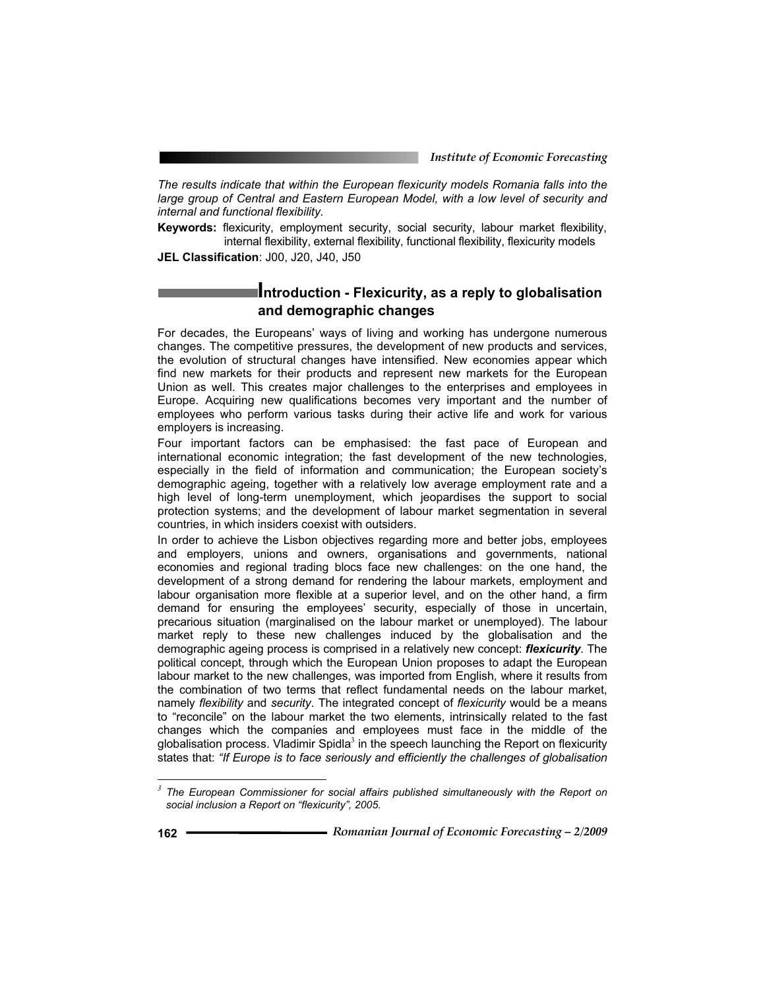*The results indicate that within the European flexicurity models Romania falls into the*  large group of Central and Eastern European Model, with a low level of security and *internal and functional flexibility.* 

**Keywords:** flexicurity, employment security, social security, labour market flexibility, internal flexibility, external flexibility, functional flexibility, flexicurity models

**JEL Classification**: J00, J20, J40, J50

# **Introduction - Flexicurity, as a reply to globalisation and demographic changes**

For decades, the Europeans' ways of living and working has undergone numerous changes. The competitive pressures, the development of new products and services, the evolution of structural changes have intensified. New economies appear which find new markets for their products and represent new markets for the European Union as well. This creates major challenges to the enterprises and employees in Europe. Acquiring new qualifications becomes very important and the number of employees who perform various tasks during their active life and work for various employers is increasing.

Four important factors can be emphasised: the fast pace of European and international economic integration; the fast development of the new technologies, especially in the field of information and communication; the European society's demographic ageing, together with a relatively low average employment rate and a high level of long-term unemployment, which jeopardises the support to social protection systems; and the development of labour market segmentation in several countries, in which insiders coexist with outsiders.

In order to achieve the Lisbon objectives regarding more and better jobs, employees and employers, unions and owners, organisations and governments, national economies and regional trading blocs face new challenges: on the one hand, the development of a strong demand for rendering the labour markets, employment and labour organisation more flexible at a superior level, and on the other hand, a firm demand for ensuring the employees' security, especially of those in uncertain, precarious situation (marginalised on the labour market or unemployed). The labour market reply to these new challenges induced by the globalisation and the demographic ageing process is comprised in a relatively new concept: *flexicurity*. The political concept, through which the European Union proposes to adapt the European labour market to the new challenges, was imported from English, where it results from the combination of two terms that reflect fundamental needs on the labour market, namely *flexibility* and *security*. The integrated concept of *flexicurity* would be a means to "reconcile" on the labour market the two elements, intrinsically related to the fast changes which the companies and employees must face in the middle of the globalisation process. Vladimir Spidla<sup>3</sup> in the speech launching the Report on flexicurity states that: *"If Europe is to face seriously and efficiently the challenges of globalisation* 

*<sup>3</sup> The European Commissioner for social affairs published simultaneously with the Report on social inclusion a Report on "flexicurity", 2005.*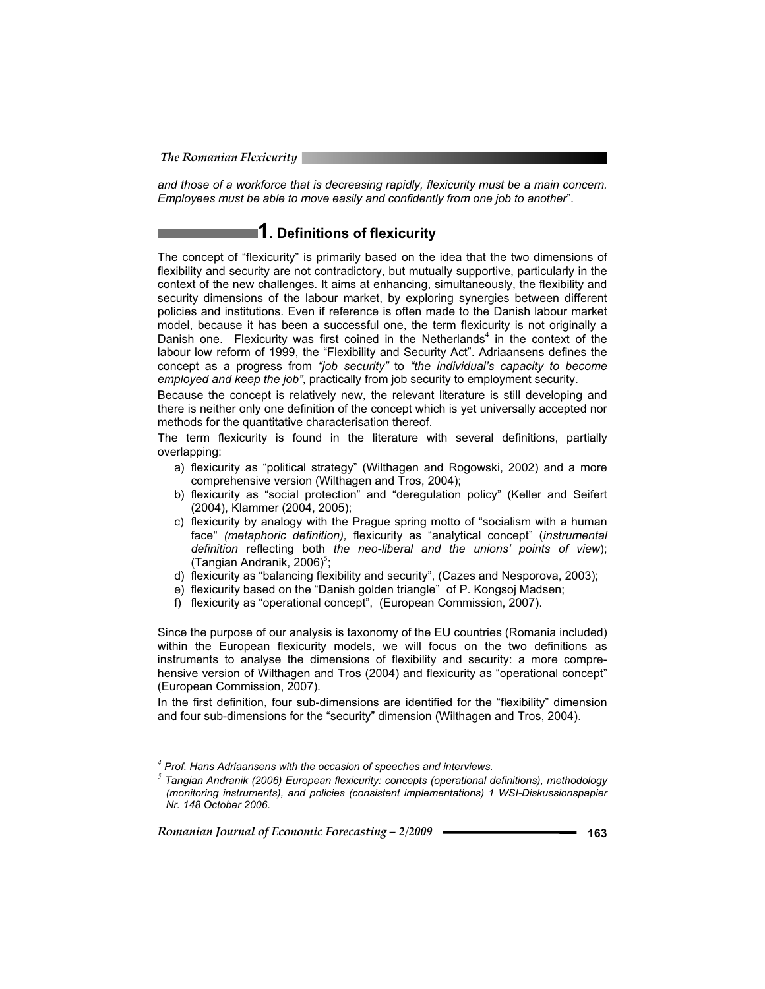*and those of a workforce that is decreasing rapidly, flexicurity must be a main concern. Employees must be able to move easily and confidently from one job to another*".

# **1. Definitions of flexicurity**

The concept of "flexicurity" is primarily based on the idea that the two dimensions of flexibility and security are not contradictory, but mutually supportive, particularly in the context of the new challenges. It aims at enhancing, simultaneously, the flexibility and security dimensions of the labour market, by exploring synergies between different policies and institutions. Even if reference is often made to the Danish labour market model, because it has been a successful one, the term flexicurity is not originally a Danish one. Flexicurity was first coined in the Netherlands<sup>4</sup> in the context of the labour low reform of 1999, the "Flexibility and Security Act". Adriaansens defines the concept as a progress from *"job security"* to *"the individual's capacity to become employed and keep the job"*, practically from job security to employment security.

Because the concept is relatively new, the relevant literature is still developing and there is neither only one definition of the concept which is yet universally accepted nor methods for the quantitative characterisation thereof.

The term flexicurity is found in the literature with several definitions, partially overlapping:

- a) flexicurity as "political strategy" (Wilthagen and Rogowski, 2002) and a more comprehensive version (Wilthagen and Tros, 2004);
- b) flexicurity as "social protection" and "deregulation policy" (Keller and Seifert (2004), Klammer (2004, 2005);
- c) flexicurity by analogy with the Prague spring motto of "socialism with a human face" *(metaphoric definition),* flexicurity as "analytical concept" (*instrumental definition* reflecting both *the neo-liberal and the unions' points of view*); (Tangian Andranik, 2006)<sup>5</sup>;
- d) flexicurity as "balancing flexibility and security", (Cazes and Nesporova, 2003);
- e) flexicurity based on the "Danish golden triangle" of P. Kongsoj Madsen;
- f) flexicurity as "operational concept", (European Commission, 2007).

Since the purpose of our analysis is taxonomy of the EU countries (Romania included) within the European flexicurity models, we will focus on the two definitions as instruments to analyse the dimensions of flexibility and security: a more comprehensive version of Wilthagen and Tros (2004) and flexicurity as "operational concept" (European Commission, 2007).

In the first definition, four sub-dimensions are identified for the "flexibility" dimension and four sub-dimensions for the "security" dimension (Wilthagen and Tros, 2004).

Romanian Journal of Economic Forecasting – 2/2009 **- <u>Conservent</u> 163** 

*<sup>4</sup> Prof. Hans Adriaansens with the occasion of speeches and interviews.*

*<sup>5</sup> Tangian Andranik (2006) European flexicurity: concepts (operational definitions), methodology (monitoring instruments), and policies (consistent implementations) 1 WSI-Diskussionspapier Nr. 148 October 2006.*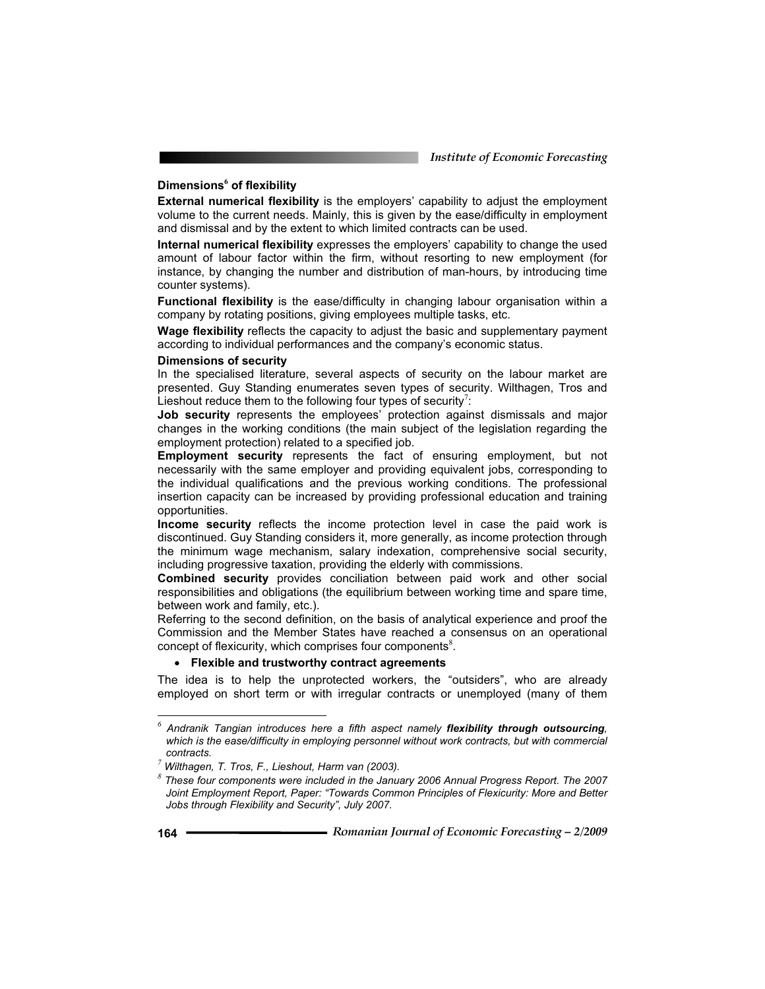# **Dimensions<sup>6</sup> of flexibility**

**External numerical flexibility** is the employers' capability to adjust the employment volume to the current needs. Mainly, this is given by the ease/difficulty in employment and dismissal and by the extent to which limited contracts can be used.

**Internal numerical flexibility** expresses the employers' capability to change the used amount of labour factor within the firm, without resorting to new employment (for instance, by changing the number and distribution of man-hours, by introducing time counter systems).

**Functional flexibility** is the ease/difficulty in changing labour organisation within a company by rotating positions, giving employees multiple tasks, etc.

**Wage flexibility** reflects the capacity to adjust the basic and supplementary payment according to individual performances and the company's economic status.

#### **Dimensions of security**

In the specialised literature, several aspects of security on the labour market are presented. Guy Standing enumerates seven types of security. Wilthagen, Tros and Lieshout reduce them to the following four types of security<sup>7</sup>:

**Job security** represents the employees' protection against dismissals and major changes in the working conditions (the main subject of the legislation regarding the employment protection) related to a specified job.

**Employment security** represents the fact of ensuring employment, but not necessarily with the same employer and providing equivalent jobs, corresponding to the individual qualifications and the previous working conditions. The professional insertion capacity can be increased by providing professional education and training opportunities.

**Income security** reflects the income protection level in case the paid work is discontinued. Guy Standing considers it, more generally, as income protection through the minimum wage mechanism, salary indexation, comprehensive social security, including progressive taxation, providing the elderly with commissions.

**Combined security** provides conciliation between paid work and other social responsibilities and obligations (the equilibrium between working time and spare time, between work and family, etc.).

Referring to the second definition, on the basis of analytical experience and proof the Commission and the Member States have reached a consensus on an operational concept of flexicurity, which comprises four components $8$ .

#### **Flexible and trustworthy contract agreements**

The idea is to help the unprotected workers, the "outsiders", who are already employed on short term or with irregular contracts or unemployed (many of them

*<sup>6</sup> Andranik Tangian introduces here a fifth aspect namely flexibility through outsourcing, which is the ease/difficulty in employing personnel without work contracts, but with commercial contracts. <sup>7</sup> Wilthagen, T. Tros, F., Lieshout, Harm van (2003).*

*<sup>8</sup> These four components were included in the January 2006 Annual Progress Report. The 2007 Joint Employment Report, Paper: "Towards Common Principles of Flexicurity: More and Better Jobs through Flexibility and Security", July 2007.*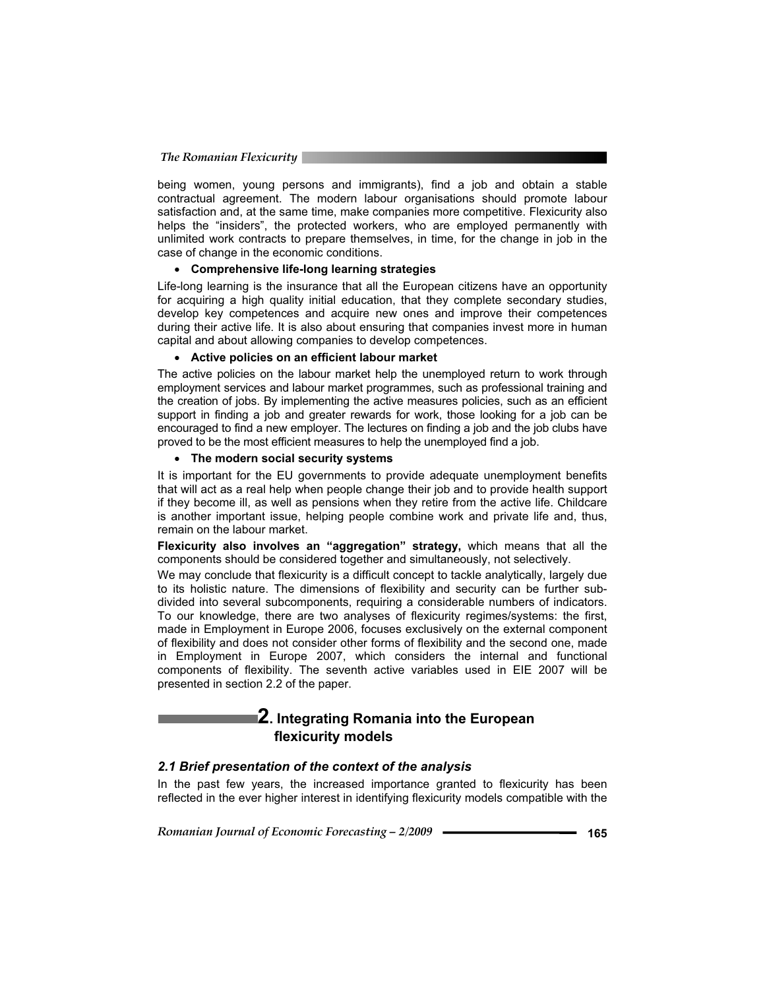being women, young persons and immigrants), find a job and obtain a stable contractual agreement. The modern labour organisations should promote labour satisfaction and, at the same time, make companies more competitive. Flexicurity also helps the "insiders", the protected workers, who are employed permanently with unlimited work contracts to prepare themselves, in time, for the change in job in the case of change in the economic conditions.

#### **Comprehensive life-long learning strategies**

Life-long learning is the insurance that all the European citizens have an opportunity for acquiring a high quality initial education, that they complete secondary studies, develop key competences and acquire new ones and improve their competences during their active life. It is also about ensuring that companies invest more in human capital and about allowing companies to develop competences.

#### **Active policies on an efficient labour market**

The active policies on the labour market help the unemployed return to work through employment services and labour market programmes, such as professional training and the creation of jobs. By implementing the active measures policies, such as an efficient support in finding a job and greater rewards for work, those looking for a job can be encouraged to find a new employer. The lectures on finding a job and the job clubs have proved to be the most efficient measures to help the unemployed find a job.

### **The modern social security systems**

It is important for the EU governments to provide adequate unemployment benefits that will act as a real help when people change their job and to provide health support if they become ill, as well as pensions when they retire from the active life. Childcare is another important issue, helping people combine work and private life and, thus, remain on the labour market.

**Flexicurity also involves an "aggregation" strategy,** which means that all the components should be considered together and simultaneously, not selectively.

We may conclude that flexicurity is a difficult concept to tackle analytically, largely due to its holistic nature. The dimensions of flexibility and security can be further subdivided into several subcomponents, requiring a considerable numbers of indicators. To our knowledge, there are two analyses of flexicurity regimes/systems: the first, made in Employment in Europe 2006, focuses exclusively on the external component of flexibility and does not consider other forms of flexibility and the second one, made in Employment in Europe 2007, which considers the internal and functional components of flexibility. The seventh active variables used in EIE 2007 will be presented in section 2.2 of the paper.

# **2. Integrating Romania into the European flexicurity models**

#### *2.1 Brief presentation of the context of the analysis*

In the past few years, the increased importance granted to flexicurity has been reflected in the ever higher interest in identifying flexicurity models compatible with the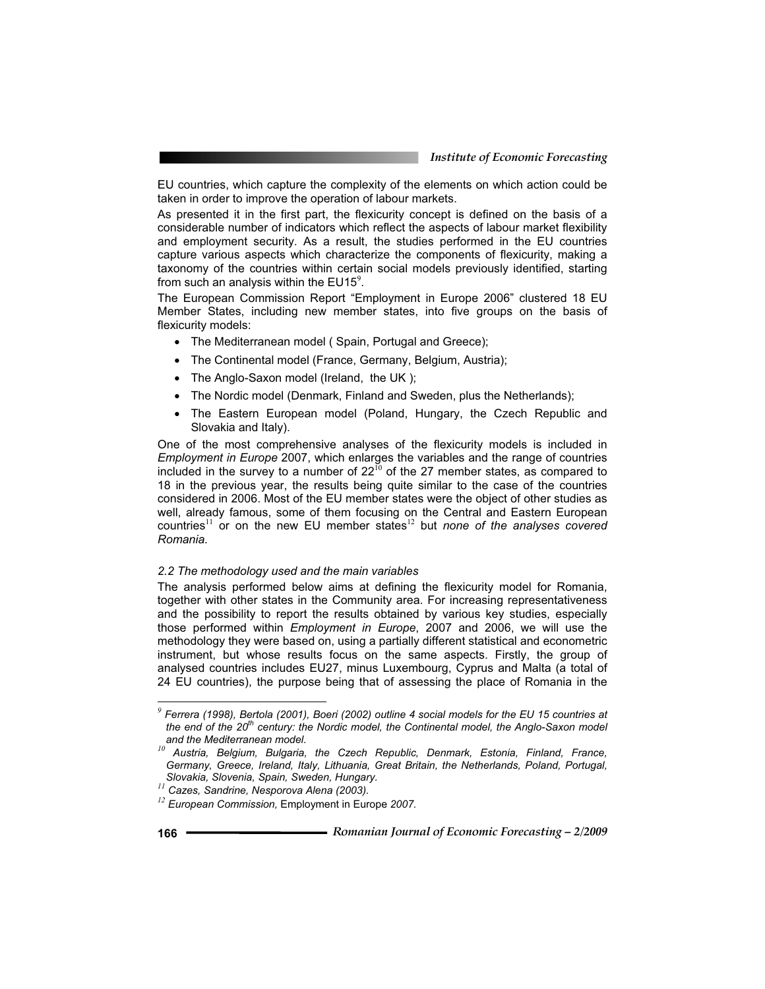EU countries, which capture the complexity of the elements on which action could be taken in order to improve the operation of labour markets.

As presented it in the first part, the flexicurity concept is defined on the basis of a considerable number of indicators which reflect the aspects of labour market flexibility and employment security. As a result, the studies performed in the EU countries capture various aspects which characterize the components of flexicurity, making a taxonomy of the countries within certain social models previously identified, starting from such an analysis within the  $EUI5<sup>9</sup>$ .

The European Commission Report "Employment in Europe 2006" clustered 18 EU Member States, including new member states, into five groups on the basis of flexicurity models:

- The Mediterranean model ( Spain, Portugal and Greece);
- The Continental model (France, Germany, Belgium, Austria);
- The Anglo-Saxon model (Ireland, the UK);
- The Nordic model (Denmark, Finland and Sweden, plus the Netherlands);
- The Eastern European model (Poland, Hungary, the Czech Republic and Slovakia and Italy).

One of the most comprehensive analyses of the flexicurity models is included in *Employment in Europe* 2007, which enlarges the variables and the range of countries included in the survey to a number of  $22^{10}$  of the 27 member states, as compared to 18 in the previous year, the results being quite similar to the case of the countries considered in 2006. Most of the EU member states were the object of other studies as well, already famous, some of them focusing on the Central and Eastern European countries<sup>11</sup> or on the new EU member states<sup>12</sup> but *none of the analyses covered Romania.* 

#### *2.2 The methodology used and the main variables*

The analysis performed below aims at defining the flexicurity model for Romania, together with other states in the Community area. For increasing representativeness and the possibility to report the results obtained by various key studies, especially those performed within *Employment in Europe*, 2007 and 2006, we will use the methodology they were based on, using a partially different statistical and econometric instrument, but whose results focus on the same aspects. Firstly, the group of analysed countries includes EU27, minus Luxembourg, Cyprus and Malta (a total of 24 EU countries), the purpose being that of assessing the place of Romania in the

*<sup>9</sup> Ferrera (1998), Bertola (2001), Boeri (2002) outline 4 social models for the EU 15 countries at the end of the 20th century: the Nordic model, the Continental model, the Anglo-Saxon model* 

*and the Mediterranean model. <sup>10</sup> Austria, Belgium, Bulgaria, the Czech Republic, Denmark, Estonia, Finland, France, Germany, Greece, Ireland, Italy, Lithuania, Great Britain, the Netherlands, Poland, Portugal, Slovakia, Slovenia, Spain, Sweden, Hungary. <sup>11</sup> Cazes, Sandrine, Nesporova Alena (2003). <sup>12</sup> European Commission,* Employment in Europe *2007.*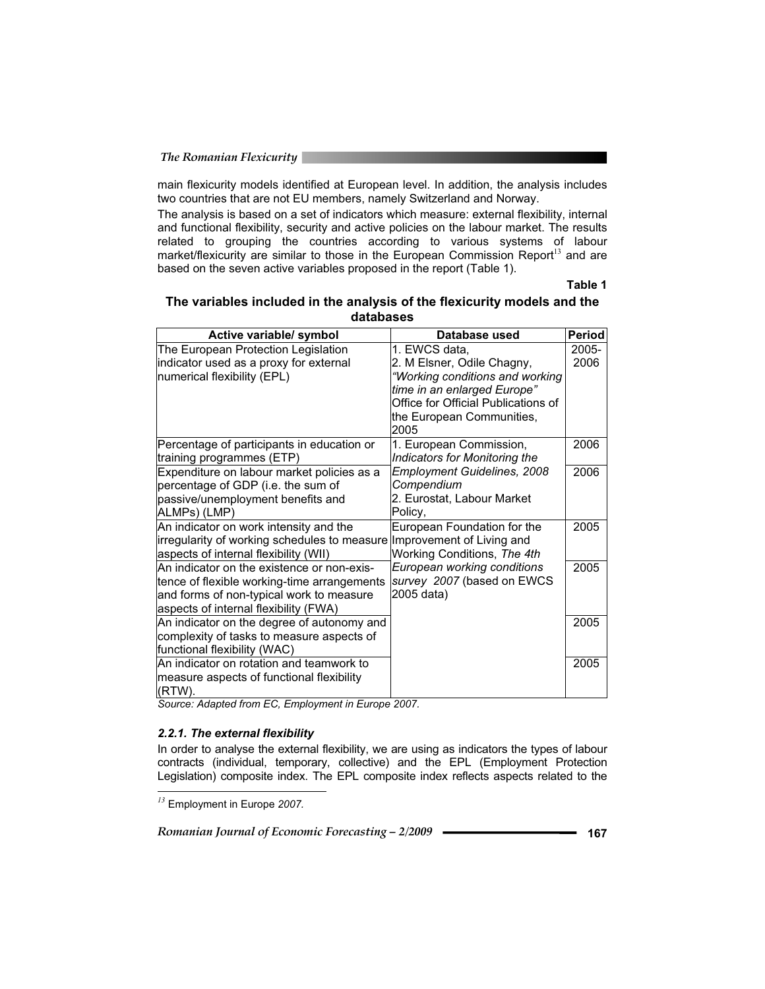main flexicurity models identified at European level. In addition, the analysis includes two countries that are not EU members, namely Switzerland and Norway.

The analysis is based on a set of indicators which measure: external flexibility, internal and functional flexibility, security and active policies on the labour market. The results related to grouping the countries according to various systems of labour market/flexicurity are similar to those in the European Commission Report<sup>13</sup> and are based on the seven active variables proposed in the report (Table 1).

**Table 1** 

| The variables included in the analysis of the flexicurity models and the |
|--------------------------------------------------------------------------|
| databases                                                                |

| Active variable/ symbol                                                | Database used                       | <b>Period</b> |
|------------------------------------------------------------------------|-------------------------------------|---------------|
| The European Protection Legislation                                    | 1. EWCS data,                       | $2005 -$      |
| indicator used as a proxy for external                                 | 2. M Elsner, Odile Chagny,          | 2006          |
| numerical flexibility (EPL)                                            | "Working conditions and working     |               |
|                                                                        | time in an enlarged Europe"         |               |
|                                                                        | Office for Official Publications of |               |
|                                                                        | the European Communities,           |               |
|                                                                        | 2005                                |               |
| Percentage of participants in education or                             | 1. European Commission,             | 2006          |
| training programmes (ETP)                                              | Indicators for Monitoring the       |               |
| Expenditure on labour market policies as a                             | <b>Employment Guidelines, 2008</b>  | 2006          |
| percentage of GDP (i.e. the sum of                                     | Compendium                          |               |
| passive/unemployment benefits and                                      | 2. Eurostat, Labour Market          |               |
| ALMPs) (LMP)                                                           | Policy,                             |               |
| An indicator on work intensity and the                                 | European Foundation for the         | 2005          |
| irregularity of working schedules to measure Improvement of Living and |                                     |               |
| aspects of internal flexibility (WII)                                  | Working Conditions, The 4th         |               |
| An indicator on the existence or non-exis-                             | European working conditions         | 2005          |
| tence of flexible working-time arrangements                            | survey 2007 (based on EWCS          |               |
| and forms of non-typical work to measure                               | 2005 data)                          |               |
| aspects of internal flexibility (FWA)                                  |                                     |               |
| An indicator on the degree of autonomy and                             |                                     | 2005          |
| complexity of tasks to measure aspects of                              |                                     |               |
| functional flexibility (WAC)                                           |                                     |               |
| An indicator on rotation and teamwork to                               |                                     | 2005          |
| measure aspects of functional flexibility                              |                                     |               |
| (RTW).                                                                 |                                     |               |

*Source: Adapted from EC, Employment in Europe 2007.* 

#### *2.2.1. The external flexibility*

In order to analyse the external flexibility, we are using as indicators the types of labour contracts (individual, temporary, collective) and the EPL (Employment Protection Legislation) composite index. The EPL composite index reflects aspects related to the  $\overline{a}$ 

*Romanian Journal of Economic Forecasting – 2/2009* **- • • • 167 167** 

*<sup>13</sup>* Employment in Europe *2007.*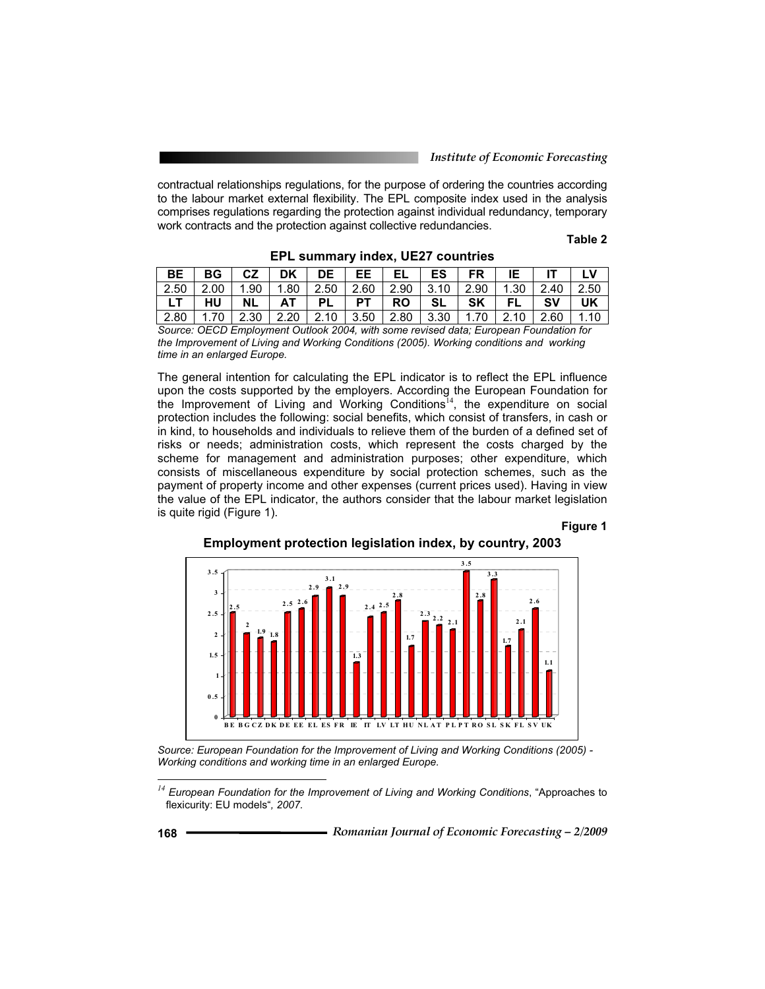contractual relationships regulations, for the purpose of ordering the countries according to the labour market external flexibility. The EPL composite index used in the analysis comprises regulations regarding the protection against individual redundancy, temporary work contracts and the protection against collective redundancies.

**Table 2** 

| BE        | <b>BG</b>                                                                             | CZ        | DK   | DE        | EE.       | EL        | <b>ES</b> | FR   |         |      |      |
|-----------|---------------------------------------------------------------------------------------|-----------|------|-----------|-----------|-----------|-----------|------|---------|------|------|
| 2.50      | 2.00                                                                                  | .90       | .80  | 2.50      | 2.60      | 2.90      | 3.10      | 2.90 | . 30. ، |      | 2.50 |
|           | HU                                                                                    | <b>NL</b> | AT   | <b>PL</b> | <b>PT</b> | <b>RO</b> | <b>SL</b> | SK   | EL.     | sv   | UK   |
| ົ<br>2.80 |                                                                                       | 2.30      | 2.20 | 2.10      | 3.50      | 2.80      | 3.30      | 1.70 |         | 2.60 |      |
|           | Course: OECD Employment Outlook 2004, with some revised data: European Foundation for |           |      |           |           |           |           |      |         |      |      |

**EPL summary index, UE27 countries** 

*Source: OECD Employment Outlook 2004, with some revised data; European Foundation for the Improvement of Living and Working Conditions (2005). Working conditions and working time in an enlarged Europe.* 

The general intention for calculating the EPL indicator is to reflect the EPL influence upon the costs supported by the employers. According the European Foundation for the Improvement of Living and Working Conditions<sup>14</sup>, the expenditure on social protection includes the following: social benefits, which consist of transfers, in cash or in kind, to households and individuals to relieve them of the burden of a defined set of risks or needs; administration costs, which represent the costs charged by the scheme for management and administration purposes; other expenditure, which consists of miscellaneous expenditure by social protection schemes, such as the payment of property income and other expenses (current prices used). Having in view the value of the EPL indicator, the authors consider that the labour market legislation is quite rigid (Figure 1).

#### **Figure 1**





*Source: European Foundation for the Improvement of Living and Working Conditions (2005) - Working conditions and working time in an enlarged Europe.* 

*<sup>14</sup> European Foundation for the Improvement of Living and Working Conditions*, "Approaches to flexicurity: EU models"*, 2007.*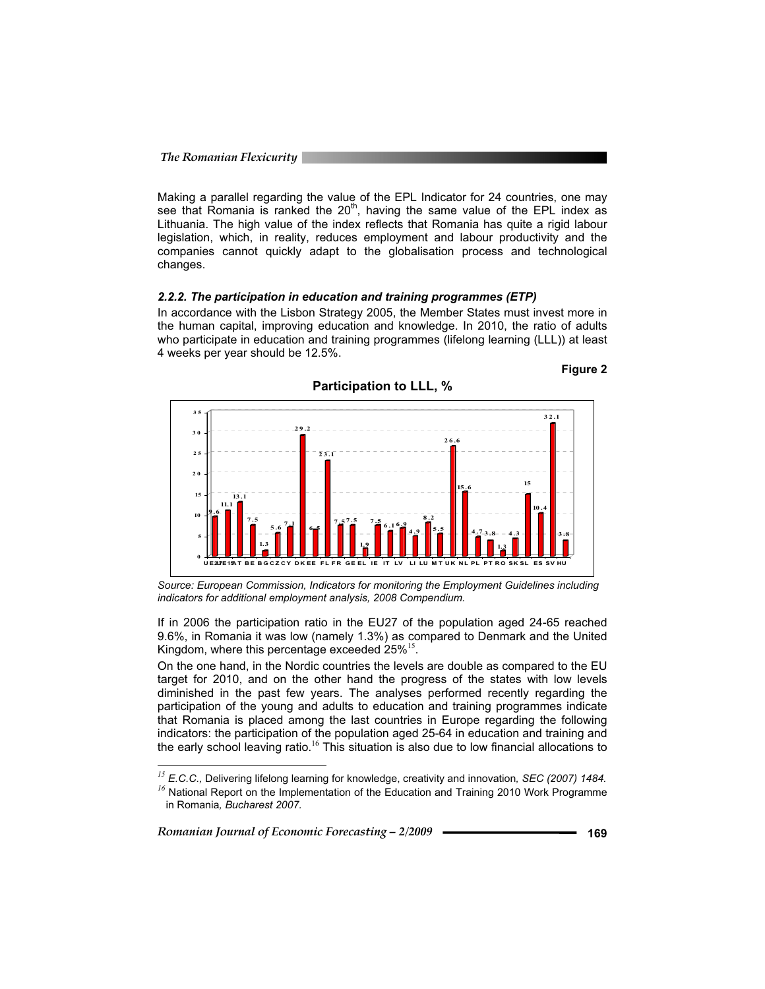Making a parallel regarding the value of the EPL Indicator for 24 countries, one may see that Romania is ranked the  $20<sup>th</sup>$ , having the same value of the EPL index as Lithuania. The high value of the index reflects that Romania has quite a rigid labour legislation, which, in reality, reduces employment and labour productivity and the companies cannot quickly adapt to the globalisation process and technological changes.

#### *2.2.2. The participation in education and training programmes (ETP)*

In accordance with the Lisbon Strategy 2005, the Member States must invest more in the human capital, improving education and knowledge. In 2010, the ratio of adults who participate in education and training programmes (lifelong learning (LLL)) at least 4 weeks per year should be 12.5%.



*Source: European Commission, Indicators for monitoring the Employment Guidelines including indicators for additional employment analysis, 2008 Compendium.* 

If in 2006 the participation ratio in the EU27 of the population aged 24-65 reached 9.6%, in Romania it was low (namely 1.3%) as compared to Denmark and the United Kingdom, where this percentage exceeded  $25\%^{15}$ .

On the one hand, in the Nordic countries the levels are double as compared to the EU target for 2010, and on the other hand the progress of the states with low levels diminished in the past few years. The analyses performed recently regarding the participation of the young and adults to education and training programmes indicate that Romania is placed among the last countries in Europe regarding the following indicators: the participation of the population aged 25-64 in education and training and the early school leaving ratio.<sup>16</sup> This situation is also due to low financial allocations to

*Romanian Journal of Economic Forecasting – 2/2009* **- • • • • • • • 169** 169

֦

**Figure 2** 

<sup>&</sup>lt;sup>15</sup> *E.C.C., Delivering lifelong learning for knowledge, creativity and innovation, SEC (2007) 1484. <sup>16</sup>* National Report on the Implementation of the Education and Training 2010 Work Programme in Romania*, Bucharest 2007.*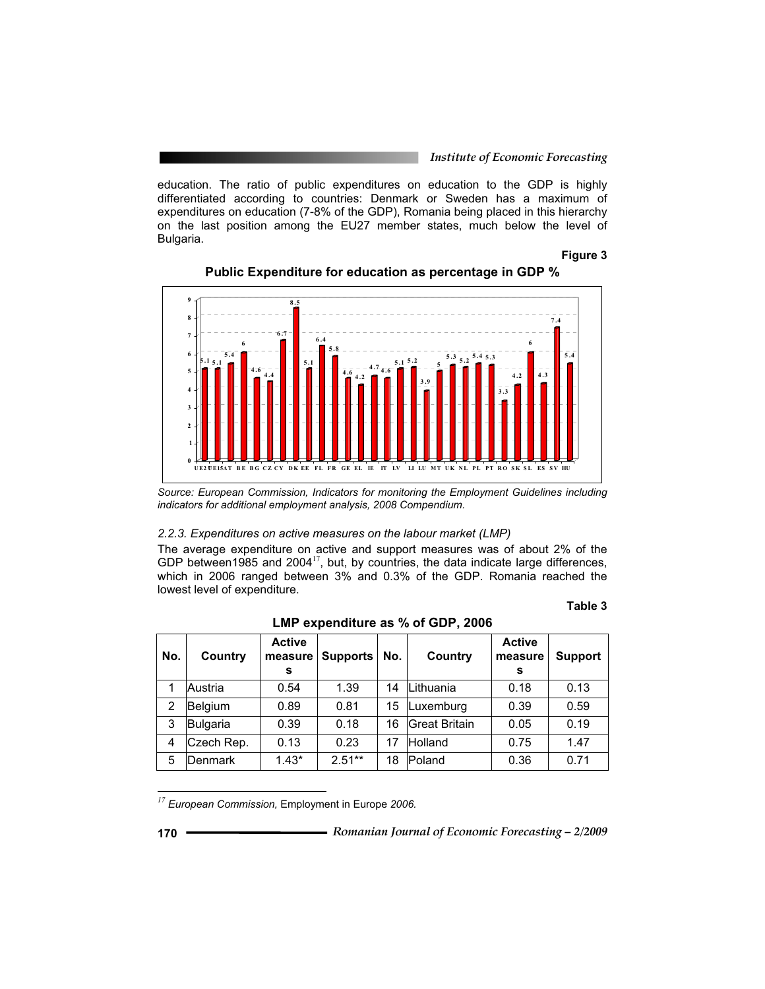education. The ratio of public expenditures on education to the GDP is highly differentiated according to countries: Denmark or Sweden has a maximum of expenditures on education (7-8% of the GDP), Romania being placed in this hierarchy on the last position among the EU27 member states, much below the level of Bulgaria.

#### **Figure 3**



**Public Expenditure for education as percentage in GDP %** 

#### *2.2.3. Expenditures on active measures on the labour market (LMP)*

The average expenditure on active and support measures was of about 2% of the GDP between1985 and 2004 $^{17}$ , but, by countries, the data indicate large differences, which in 2006 ranged between 3% and 0.3% of the GDP. Romania reached the lowest level of expenditure.

#### **Table 3**

|     | LMP expenditure as % of GDP, 2006 |                               |                 |     |               |                               |                |  |  |  |  |  |  |  |
|-----|-----------------------------------|-------------------------------|-----------------|-----|---------------|-------------------------------|----------------|--|--|--|--|--|--|--|
| No. | Country                           | <b>Active</b><br>measure<br>s | <b>Supports</b> | No. | Country       | <b>Active</b><br>measure<br>s | <b>Support</b> |  |  |  |  |  |  |  |
| 1   | Austria                           | 0.54                          | 1.39            | 14  | Lithuania     | 0.18                          | 0.13           |  |  |  |  |  |  |  |
| 2   | Belgium                           | 0.89                          | 0.81            | 15  | Luxemburg     | 0.39                          | 0.59           |  |  |  |  |  |  |  |
| 3   | Bulgaria                          | 0.39                          | 0.18            | 16  | Great Britain | 0.05                          | 0.19           |  |  |  |  |  |  |  |
| 4   | Czech Rep.                        | 0.13                          | 0.23            | 17  | Holland       | 0.75                          | 1.47           |  |  |  |  |  |  |  |
| 5   | <b>Denmark</b>                    | $1.43*$                       | $2.51**$        | 18  | Poland        | 0.36                          | 0.71           |  |  |  |  |  |  |  |

*<sup>17</sup> European Commission,* Employment in Europe *2006.*

*Source: European Commission, Indicators for monitoring the Employment Guidelines including indicators for additional employment analysis, 2008 Compendium.*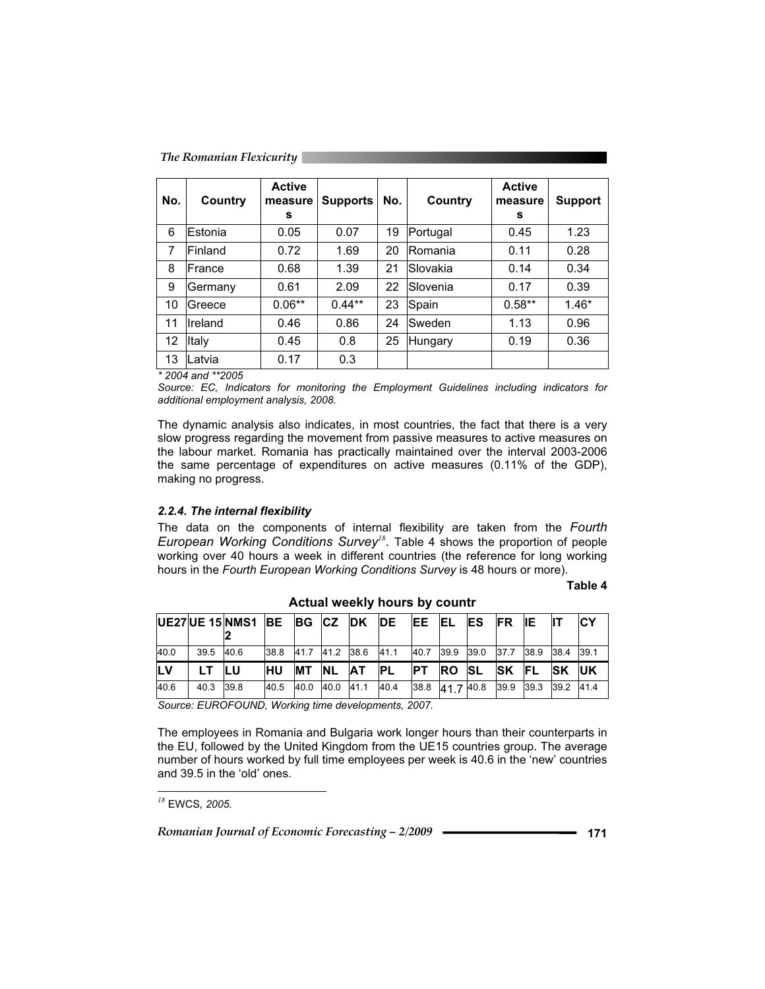| The Romanian Flexicurity |  |
|--------------------------|--|
|                          |  |

| No. | Country                  | <b>Active</b><br>measure<br>s | <b>Supports</b> | No. | Country   | <b>Active</b><br>measure<br>s | <b>Support</b> |
|-----|--------------------------|-------------------------------|-----------------|-----|-----------|-------------------------------|----------------|
| 6   | Estonia                  | 0.05                          | 0.07            | 19  | Portugal  | 0.45                          | 1.23           |
| 7   | Finland                  | 0.72                          | 1.69            | 20  | Romania   | 0.11                          | 0.28           |
| 8   | France                   | 0.68                          | 1.39            | 21  | lSlovakia | 0.14                          | 0.34           |
| 9   | lGermany                 | 0.61                          | 2.09            | 22  | Slovenia  | 0.17                          | 0.39           |
| 10  | lGreece                  | $0.06**$                      | $0.44**$        | 23  | Spain     | $0.58**$                      | $1.46*$        |
| 11  | Ireland                  | 0.46                          | 0.86            | 24  | Sweden    | 1.13                          | 0.96           |
| 12  | Italy                    | 0.45                          | 0.8             | 25  | Hungary   | 0.19                          | 0.36           |
| 13  | Latvia                   | 0.17                          | 0.3             |     |           |                               |                |
|     | $*$ 0001 $*$ $*$ $*$ $*$ |                               |                 |     |           |                               |                |

*\* 2004 and \*\*2005* 

*Source: EC, Indicators for monitoring the Employment Guidelines including indicators for additional employment analysis, 2008.* 

The dynamic analysis also indicates, in most countries, the fact that there is a very slow progress regarding the movement from passive measures to active measures on the labour market. Romania has practically maintained over the interval 2003-2006 the same percentage of expenditures on active measures (0.11% of the GDP), making no progress.

#### *2.2.4. The internal flexibility*

The data on the components of internal flexibility are taken from the *Fourth European Working Conditions Survey<sup>18</sup>*. Table 4 shows the proportion of people working over 40 hours a week in different countries (the reference for long working hours in the *Fourth European Working Conditions Survey* is 48 hours or more).

#### **Table 4**

|            |           | UE27UE 15 NMS1 BE BG CZ DK                                                                                                                                                                                                                                |            |                 |                     | <b>IDE</b> | IEE.      | EL ES       |                                    | FR IE         |               | СY |
|------------|-----------|-----------------------------------------------------------------------------------------------------------------------------------------------------------------------------------------------------------------------------------------------------------|------------|-----------------|---------------------|------------|-----------|-------------|------------------------------------|---------------|---------------|----|
| 40.0       | 39.5 40.6 |                                                                                                                                                                                                                                                           | 38.8       |                 | 41.7 41.2 38.6 41.1 |            | 40.7      |             | 39.9 39.0 37.7 38.9 38.4 39.1      |               |               |    |
| <b>ILV</b> | LT.       | <b>ILU</b>                                                                                                                                                                                                                                                | <b>IHU</b> | <b>MT NL AT</b> |                     | <b>IPL</b> | <b>PT</b> | <b>ROSL</b> |                                    | <b>ISK FL</b> | <b>ISK UK</b> |    |
| 40.6       | 40.3 39.8 |                                                                                                                                                                                                                                                           | 40.5       | 40.0 40.0 41.1  |                     | 40.4       |           |             | 38.8 41.7 40.8 39.9 39.3 39.2 41.4 |               |               |    |
| $\sim$     |           | $F(1,0) = 2(1,1) + 1(1,1) + 1(1,1) + 1(1,1) + 1(1,1) + 1(1,1) + 1(1,1) + 1(1,1) + 1(1,1) + 1(1,1) + 1(1,1) + 1(1,1) + 1(1,1) + 1(1,1) + 1(1,1) + 1(1,1) + 1(1,1) + 1(1,1) + 1(1,1) + 1(1,1) + 1(1,1) + 1(1,1) + 1(1,1) + 1(1,1) + 1(1,1) + 1(1,1) + 1(1,$ |            |                 |                     |            |           |             |                                    |               |               |    |

**Actual weekly hours by countr**

*Source: EUROFOUND, Working time developments, 2007.* 

The employees in Romania and Bulgaria work longer hours than their counterparts in the EU, followed by the United Kingdom from the UE15 countries group. The average number of hours worked by full time employees per week is 40.6 in the 'new' countries and 39.5 in the 'old' ones.

 $\overline{a}$ 

*<sup>18</sup>* EWCS*, 2005.*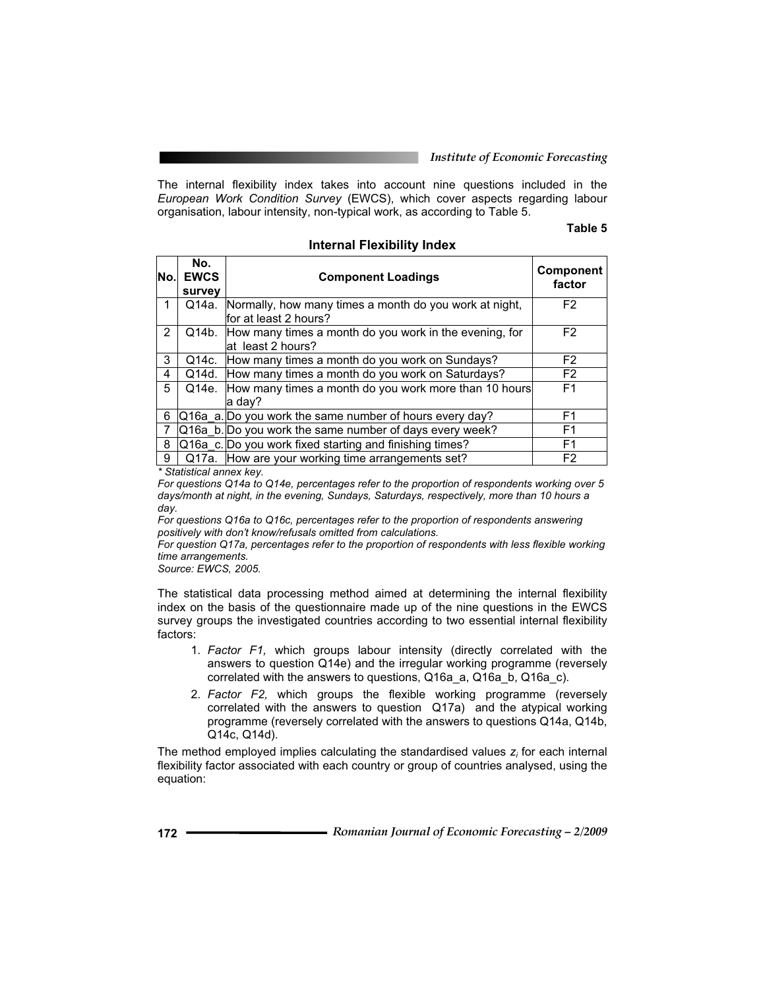The internal flexibility index takes into account nine questions included in the *European Work Condition Survey* (EWCS), which cover aspects regarding labour organisation, labour intensity, non-typical work, as according to Table 5.

**Internal Flexibility Index** 

### **Table 5**

| No.                   | No.<br><b>EWCS</b><br>survey | <b>Component Loadings</b>                                                         | <b>Component</b><br>factor |
|-----------------------|------------------------------|-----------------------------------------------------------------------------------|----------------------------|
|                       | Q14a.                        | Normally, how many times a month do you work at night,<br>lfor at least 2 hours?  | F <sub>2</sub>             |
| $\mathbf{2}^{\prime}$ |                              | Q14b. How many times a month do you work in the evening, for<br>at least 2 hours? | F <sub>2</sub>             |
| 3                     | Q14c.                        | How many times a month do you work on Sundays?                                    | F <sub>2</sub>             |
| 4                     | Q14d.                        | How many times a month do you work on Saturdays?                                  | F <sub>2</sub>             |
| 5                     |                              | Q14e. How many times a month do you work more than 10 hours<br>la dav?            | F <sub>1</sub>             |
| 6                     |                              | Q16a a. Do you work the same number of hours every day?                           | F1                         |
|                       |                              | Q16a b. Do you work the same number of days every week?                           | F <sub>1</sub>             |
| 8                     |                              | Q16a c. Do you work fixed starting and finishing times?                           | F <sub>1</sub>             |
| 9                     |                              | Q17a. How are your working time arrangements set?                                 | F <sub>2</sub>             |

*\* Statistical annex key.* 

*For questions Q14a to Q14e, percentages refer to the proportion of respondents working over 5 days/month at night, in the evening, Sundays, Saturdays, respectively, more than 10 hours a day.* 

*For questions Q16a to Q16c, percentages refer to the proportion of respondents answering positively with don't know/refusals omitted from calculations.* 

*For question Q17a, percentages refer to the proportion of respondents with less flexible working time arrangements.* 

*Source: EWCS, 2005.* 

The statistical data processing method aimed at determining the internal flexibility index on the basis of the questionnaire made up of the nine questions in the EWCS survey groups the investigated countries according to two essential internal flexibility factors:

- 1. *Factor F1,* which groups labour intensity (directly correlated with the answers to question Q14e) and the irregular working programme (reversely correlated with the answers to questions, Q16a\_a, Q16a\_b, Q16a\_c).
- 2. *Factor F2,* which groups the flexible working programme (reversely correlated with the answers to question Q17a) and the atypical working programme (reversely correlated with the answers to questions Q14a, Q14b, Q14c, Q14d).

The method employed implies calculating the standardised values *zi* for each internal flexibility factor associated with each country or group of countries analysed, using the equation: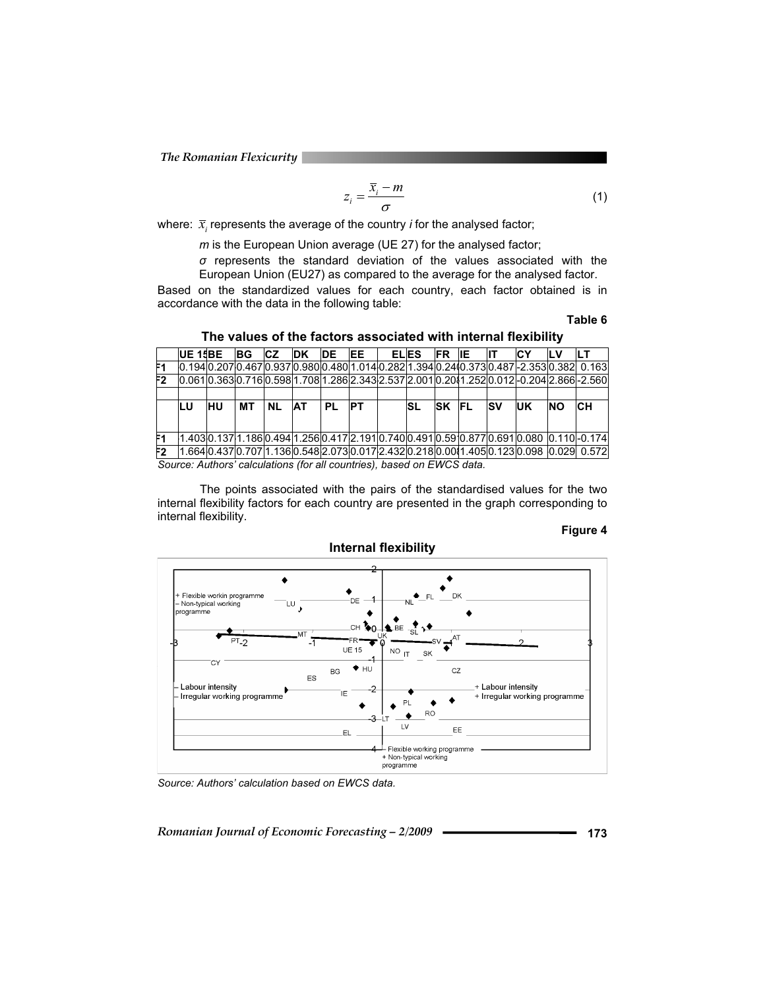$$
z_i = \frac{\overline{x}_i - m}{\sigma} \tag{1}
$$

where:  $\bar{x}$ , represents the average of the country *i* for the analysed factor;

*m* is the European Union average (UE 27) for the analysed factor;

 $\sigma$  represents the standard deviation of the values associated with the European Union (EU27) as compared to the average for the analysed factor.

Based on the standardized values for each country, each factor obtained is in accordance with the data in the following table:

**Table 6** 

|     | <b>UE 15BE</b>                                                       |    | BG | <b>ICZ</b> | <b>IDK</b> | <b>IDE</b> | <b>IEE</b> |  | <b>ELIES</b> | <b>IFR IE</b> |            | СY                                                                                           |           |                                                                                              |
|-----|----------------------------------------------------------------------|----|----|------------|------------|------------|------------|--|--------------|---------------|------------|----------------------------------------------------------------------------------------------|-----------|----------------------------------------------------------------------------------------------|
|     |                                                                      |    |    |            |            |            |            |  |              |               |            |                                                                                              |           |                                                                                              |
| F2. |                                                                      |    |    |            |            |            |            |  |              |               |            | 0.0610.3630.7160.5981.7081.2862.3432.5372.0010.2011.2520.0120-0.2041.8660-2.560              |           |                                                                                              |
|     |                                                                      |    |    |            |            |            |            |  |              |               |            |                                                                                              |           |                                                                                              |
|     | LU                                                                   | HU | MТ | <b>NL</b>  | <b>AT</b>  | <b>PL</b>  | <b>PT</b>  |  | SL           | <b>SK FL</b>  | <b>ISV</b> | <b>IUK</b>                                                                                   | <b>NO</b> | <b>CH</b>                                                                                    |
|     |                                                                      |    |    |            |            |            |            |  |              |               |            |                                                                                              |           |                                                                                              |
|     |                                                                      |    |    |            |            |            |            |  |              |               |            | l1.403l0.137l1.186l0.494l1.256l0.417l2.191l0.740l0.491l0.59l0.877l0.691l0.080 l0.110l-0.174l |           |                                                                                              |
| F2  |                                                                      |    |    |            |            |            |            |  |              |               |            |                                                                                              |           | l1.664l0.437l0.707l1.136l0.548l2.073l0.017l2.432l0.218l0.00l1.405l0.123l0.098 l0.029l 0.572l |
|     | Source: Authors' calculations (for all countries) hased on FWCS data |    |    |            |            |            |            |  |              |               |            |                                                                                              |           |                                                                                              |

### **The values of the factors associated with internal flexibility**

*Source: Authors' calculations (for all countries), based on EWCS data.* 

The points associated with the pairs of the standardised values for the two internal flexibility factors for each country are presented in the graph corresponding to internal flexibility.

#### **Figure 4**



# **Internal flexibility**

*Source: Authors' calculation based on EWCS data.*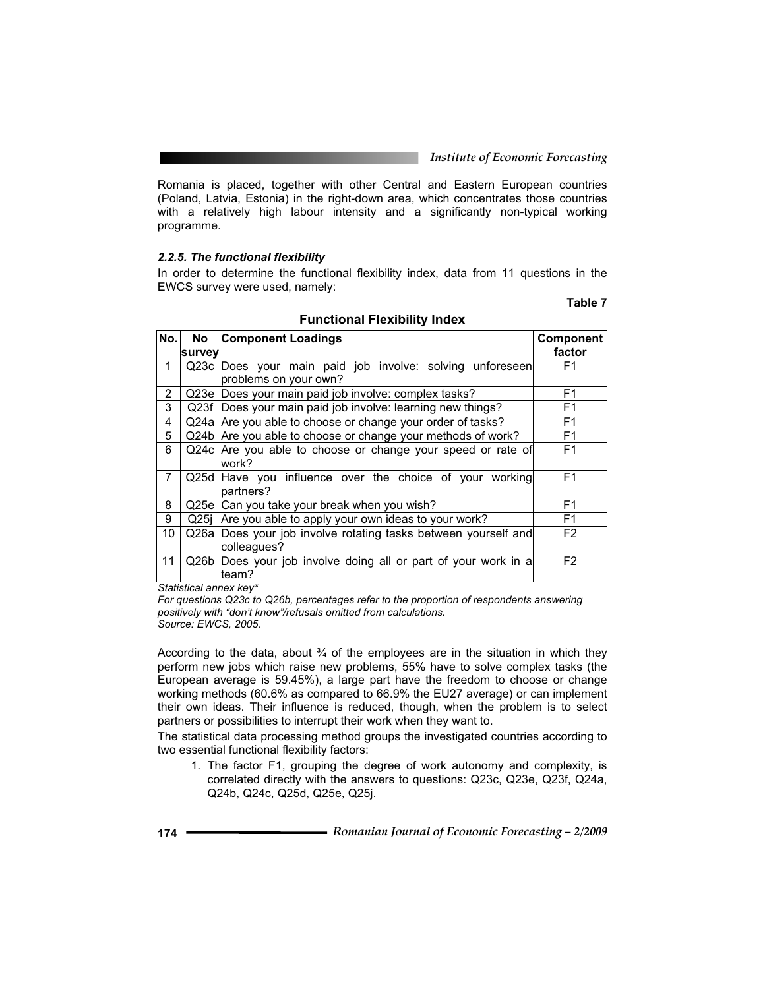Romania is placed, together with other Central and Eastern European countries (Poland, Latvia, Estonia) in the right-down area, which concentrates those countries with a relatively high labour intensity and a significantly non-typical working programme.

#### *2.2.5. The functional flexibility*

In order to determine the functional flexibility index, data from 11 questions in the EWCS survey were used, namely:

### **Table 7**

| No.            | No l   | <b>Component Loadings</b>                                                         | Component      |
|----------------|--------|-----------------------------------------------------------------------------------|----------------|
|                | survey |                                                                                   | factor         |
| 1              |        | Q23c Does your main paid job involve: solving unforeseen<br>problems on your own? | F1             |
| $\overline{2}$ |        | Q23e Does your main paid job involve: complex tasks?                              | F1             |
| 3              |        | Q23f Does your main paid job involve: learning new things?                        | F1             |
| 4              |        | Q24a Are you able to choose or change your order of tasks?                        | F1             |
| 5              |        | Q24b Are you able to choose or change your methods of work?                       | F1             |
| 6              |        | Q24c Are you able to choose or change your speed or rate of<br>work?              | F <sub>1</sub> |
| $\overline{7}$ |        | Q25d Have you influence over the choice of your working<br>partners?              | F <sub>1</sub> |
| 8              |        | Q25e Can you take your break when you wish?                                       | F <sub>1</sub> |
| 9              | Q25i   | Are you able to apply your own ideas to your work?                                | F1             |
| 10             | Q26a   | Does your job involve rotating tasks between yourself and                         | F <sub>2</sub> |
|                |        | colleagues?                                                                       |                |
| 11             |        | Q26b Does your job involve doing all or part of your work in a<br>team?           | F <sub>2</sub> |

#### **Functional Flexibility Index**

*Statistical annex key\** 

*For questions Q23c to Q26b, percentages refer to the proportion of respondents answering positively with "don't know"/refusals omitted from calculations.* 

*Source: EWCS, 2005.* 

According to the data, about  $\frac{3}{4}$  of the employees are in the situation in which they perform new jobs which raise new problems, 55% have to solve complex tasks (the European average is 59.45%), a large part have the freedom to choose or change working methods (60.6% as compared to 66.9% the EU27 average) or can implement their own ideas. Their influence is reduced, though, when the problem is to select partners or possibilities to interrupt their work when they want to.

The statistical data processing method groups the investigated countries according to two essential functional flexibility factors:

1. The factor F1, grouping the degree of work autonomy and complexity, is correlated directly with the answers to questions: Q23c, Q23e, Q23f, Q24a, Q24b, Q24c, Q25d, Q25e, Q25j.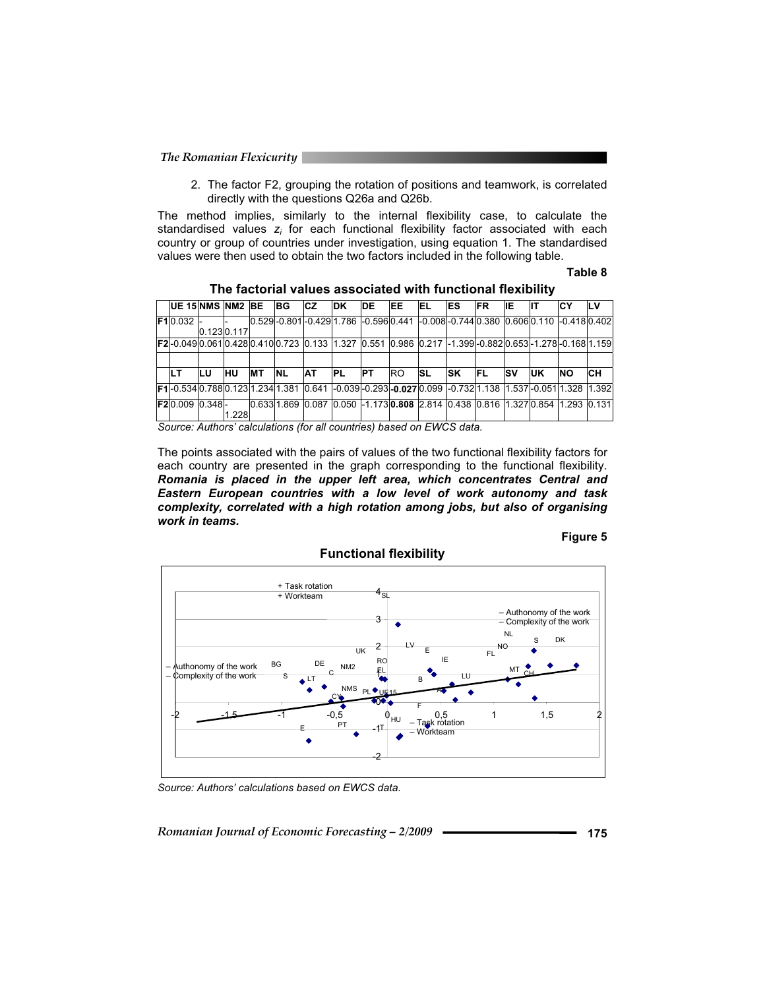2. The factor F2, grouping the rotation of positions and teamwork, is correlated directly with the questions Q26a and Q26b.

The method implies, similarly to the internal flexibility case, to calculate the standardised values  $z_i$  for each functional flexibility factor associated with each country or group of countries under investigation, using equation 1. The standardised values were then used to obtain the two factors included in the following table.

#### **Table 8**

| <b>UE 15 NMS NM2 BE</b>                                                                                                         |            |            |            | <b>BG</b>  | ICZ.      | IDK.                                                                                  | <b>DE</b> | EE  | <b>IEL</b> | <b>IES</b> | IFR. | IIE.       |           | IСY       | LV |
|---------------------------------------------------------------------------------------------------------------------------------|------------|------------|------------|------------|-----------|---------------------------------------------------------------------------------------|-----------|-----|------------|------------|------|------------|-----------|-----------|----|
| F10.032 -                                                                                                                       |            |            |            |            |           |                                                                                       |           |     |            |            |      |            |           |           |    |
|                                                                                                                                 | 0.1230.117 |            |            |            |           |                                                                                       |           |     |            |            |      |            |           |           |    |
| <b>F2-</b> 0.0490.0610.4280.4100.723 0.133 1.327 0.551 0.986 0.217 -1.399-0.8820.653-1.278-0.16811.159                          |            |            |            |            |           |                                                                                       |           |     |            |            |      |            |           |           |    |
|                                                                                                                                 |            |            |            |            |           |                                                                                       |           |     |            |            |      |            |           |           |    |
| LТ                                                                                                                              | ILU.       | <b>IHU</b> | <b>IMT</b> | <b>INL</b> | <b>AT</b> | IPL.                                                                                  | <b>PT</b> | RO. | <b>ISL</b> | <b>ISK</b> | IFL. | <b>ISV</b> | <b>UK</b> | <b>NO</b> | CН |
| <b>IF1l-</b> 0.534l0.788l0.123l1.234l1.381 l0.641 l-0.039l-0.293l <b>-0.027</b> l0.099 l-0.732l1.138 l1.537l-0.051l1.328 l1.392 |            |            |            |            |           |                                                                                       |           |     |            |            |      |            |           |           |    |
| <b>F2</b> I0.009 I0.348I-                                                                                                       |            |            |            |            |           | 0.633 1.869 0.087 0.050 -1.173 <b>0.808</b> 2.814 0.438 0.816 1.327 0.854 1.293 0.131 |           |     |            |            |      |            |           |           |    |
|                                                                                                                                 |            | 1.228      |            |            |           |                                                                                       |           |     |            |            |      |            |           |           |    |
| Saurea: Authors' coloulations (for all countries) begad on EINCS data                                                           |            |            |            |            |           |                                                                                       |           |     |            |            |      |            |           |           |    |

| The factorial values associated with functional flexibility |  |  |  |  |  |
|-------------------------------------------------------------|--|--|--|--|--|
|-------------------------------------------------------------|--|--|--|--|--|

*Source: Authors' calculations (for all countries) based on EWCS data.* 

The points associated with the pairs of values of the two functional flexibility factors for each country are presented in the graph corresponding to the functional flexibility. *Romania is placed in the upper left area, which concentrates Central and Eastern European countries with a low level of work autonomy and task complexity, correlated with a high rotation among jobs, but also of organising work in teams.* 

#### **Figure 5**



**Functional flexibility** 

*Source: Authors' calculations based on EWCS data.*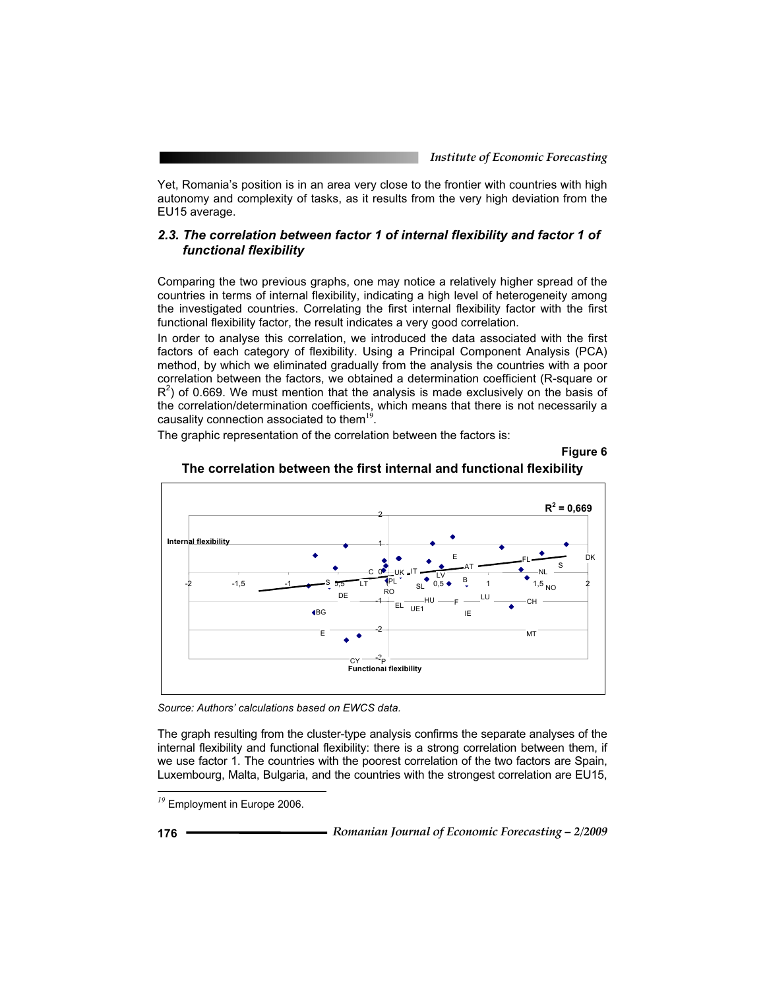Yet, Romania's position is in an area very close to the frontier with countries with high autonomy and complexity of tasks, as it results from the very high deviation from the EU15 average.

### *2.3. The correlation between factor 1 of internal flexibility and factor 1 of functional flexibility*

Comparing the two previous graphs, one may notice a relatively higher spread of the countries in terms of internal flexibility, indicating a high level of heterogeneity among the investigated countries. Correlating the first internal flexibility factor with the first functional flexibility factor, the result indicates a very good correlation.

In order to analyse this correlation, we introduced the data associated with the first factors of each category of flexibility. Using a Principal Component Analysis (PCA) method, by which we eliminated gradually from the analysis the countries with a poor correlation between the factors, we obtained a determination coefficient (R-square or  $R<sup>2</sup>$ ) of 0.669. We must mention that the analysis is made exclusively on the basis of the correlation/determination coefficients, which means that there is not necessarily a causality connection associated to them $19$ .

The graphic representation of the correlation between the factors is:





# **The correlation between the first internal and functional flexibility**

*Source: Authors' calculations based on EWCS data.* 

The graph resulting from the cluster-type analysis confirms the separate analyses of the internal flexibility and functional flexibility: there is a strong correlation between them, if we use factor 1. The countries with the poorest correlation of the two factors are Spain, Luxembourg, Malta, Bulgaria, and the countries with the strongest correlation are EU15,

*<sup>19</sup>* Employment in Europe 2006.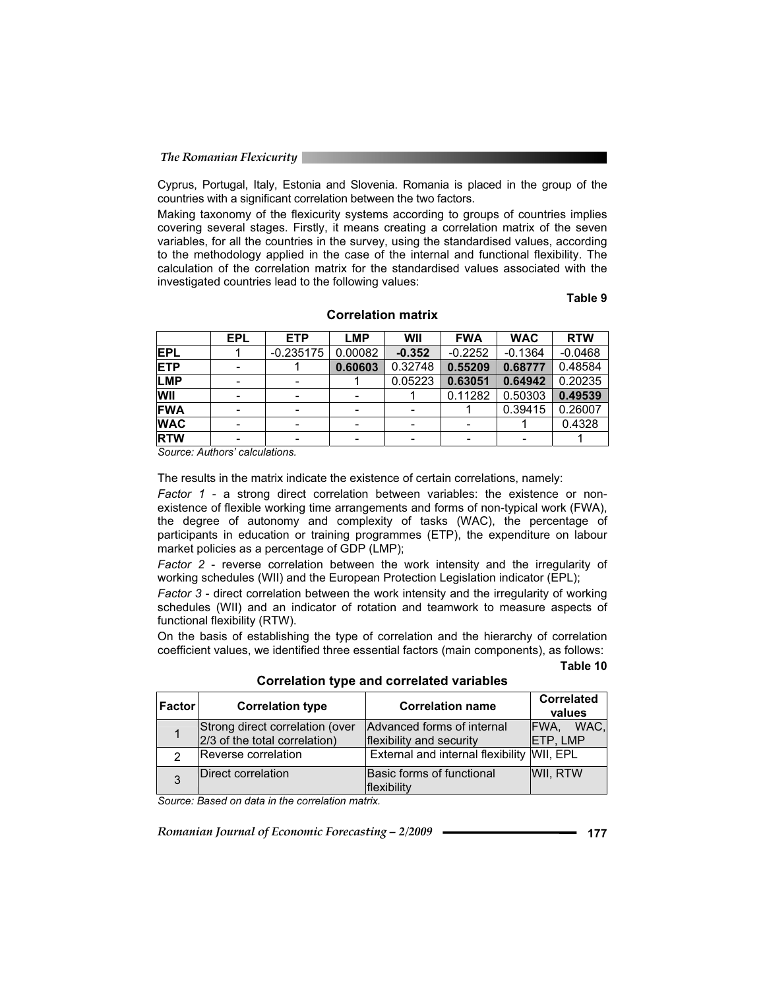Cyprus, Portugal, Italy, Estonia and Slovenia. Romania is placed in the group of the countries with a significant correlation between the two factors.

Making taxonomy of the flexicurity systems according to groups of countries implies covering several stages. Firstly, it means creating a correlation matrix of the seven variables, for all the countries in the survey, using the standardised values, according to the methodology applied in the case of the internal and functional flexibility. The calculation of the correlation matrix for the standardised values associated with the investigated countries lead to the following values:

# **Table 9**

|            | <b>EPL</b> | <b>ETP</b>  | <b>LMP</b> | WII      | <b>FWA</b> | <b>WAC</b> | <b>RTW</b> |
|------------|------------|-------------|------------|----------|------------|------------|------------|
| <b>EPL</b> |            | $-0.235175$ | 0.00082    | $-0.352$ | $-0.2252$  | $-0.1364$  | $-0.0468$  |
| <b>ETP</b> |            |             | 0.60603    | 0.32748  | 0.55209    | 0.68777    | 0.48584    |
| LMP        |            |             |            | 0.05223  | 0.63051    | 0.64942    | 0.20235    |
| WII        |            |             |            |          | 0.11282    | 0.50303    | 0.49539    |
| <b>FWA</b> |            |             |            |          |            | 0.39415    | 0.26007    |
| <b>WAC</b> |            |             |            |          |            |            | 0.4328     |
| <b>RTW</b> |            |             |            |          |            |            |            |

#### **Correlation matrix**

*Source: Authors' calculations.* 

The results in the matrix indicate the existence of certain correlations, namely:

*Factor 1* - a strong direct correlation between variables: the existence or nonexistence of flexible working time arrangements and forms of non-typical work (FWA), the degree of autonomy and complexity of tasks (WAC), the percentage of participants in education or training programmes (ETP), the expenditure on labour market policies as a percentage of GDP (LMP);

*Factor 2* - reverse correlation between the work intensity and the irregularity of working schedules (WII) and the European Protection Legislation indicator (EPL);

*Factor 3* - direct correlation between the work intensity and the irregularity of working schedules (WII) and an indicator of rotation and teamwork to measure aspects of functional flexibility (RTW).

On the basis of establishing the type of correlation and the hierarchy of correlation coefficient values, we identified three essential factors (main components), as follows:

#### **Table 10**

| <b>Factor</b> | <b>Correlation type</b>                                          | <b>Correlation name</b>                                | <b>Correlated</b><br>values |  |
|---------------|------------------------------------------------------------------|--------------------------------------------------------|-----------------------------|--|
|               | Strong direct correlation (over<br>2/3 of the total correlation) | Advanced forms of internal<br>flexibility and security | IFWA. WAC.<br>ETP, LMP      |  |
|               | Reverse correlation                                              | External and internal flexibility WII, EPL             |                             |  |
|               | Direct correlation                                               | Basic forms of functional<br><b>Iflexibility</b>       | WII, RTW                    |  |

**Correlation type and correlated variables** 

*Source: Based on data in the correlation matrix.*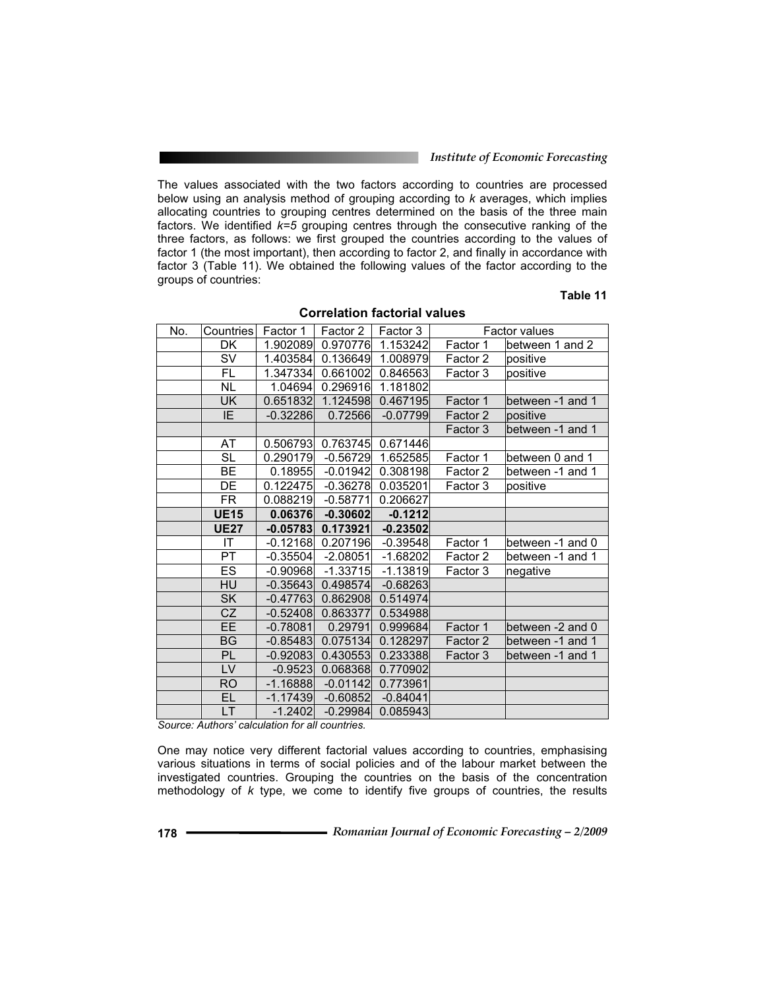#### *Institute of Economic Forecasting*

The values associated with the two factors according to countries are processed below using an analysis method of grouping according to *k* averages, which implies allocating countries to grouping centres determined on the basis of the three main factors. We identified *k=5* grouping centres through the consecutive ranking of the three factors, as follows: we first grouped the countries according to the values of factor 1 (the most important), then according to factor 2, and finally in accordance with factor 3 (Table 11). We obtained the following values of the factor according to the groups of countries:

# **Table 11**

| No. | <b>Countries</b> | Factor 1   | Factor 2   | Factor 3   | Factor values |                  |
|-----|------------------|------------|------------|------------|---------------|------------------|
|     | DK               | 1.902089   | 0.970776   | 1.153242   | Factor 1      | between 1 and 2  |
|     | <b>SV</b>        | 1.403584   | 0.136649   | 1.008979   | Factor 2      | positive         |
|     | FL.              | 1.347334   | 0.661002   | 0.846563   | Factor 3      | positive         |
|     | <b>NL</b>        | 1.04694    | 0.296916   | 1.181802   |               |                  |
|     | UK               | 0.651832   | 1.124598   | 0.467195   | Factor 1      | between -1 and 1 |
|     | $\overline{E}$   | $-0.32286$ | 0.72566    | $-0.07799$ | Factor 2      | positive         |
|     |                  |            |            |            | Factor 3      | between -1 and 1 |
|     | AT               | 0.506793   | 0.763745   | 0.671446   |               |                  |
|     | <b>SL</b>        | 0.290179   | $-0.56729$ | 1.652585   | Factor 1      | between 0 and 1  |
|     | BE               | 0.18955    | $-0.01942$ | 0.308198   | Factor 2      | between -1 and 1 |
|     | DE               | 0.122475   | $-0.36278$ | 0.035201   | Factor 3      | positive         |
|     | FR               | 0.088219   | $-0.58771$ | 0.206627   |               |                  |
|     | <b>UE15</b>      | 0.06376    | $-0.30602$ | $-0.1212$  |               |                  |
|     | <b>UE27</b>      | $-0.05783$ | 0.173921   | $-0.23502$ |               |                  |
|     | IT               | $-0.12168$ | 0.207196   | $-0.39548$ | Factor 1      | between -1 and 0 |
|     | $\overline{PT}$  | $-0.35504$ | $-2.08051$ | $-1.68202$ | Factor 2      | between -1 and 1 |
|     | <b>ES</b>        | $-0.90968$ | $-1.33715$ | $-1.13819$ | Factor 3      | negative         |
|     | HU               | $-0.35643$ | 0.498574   | $-0.68263$ |               |                  |
|     | <b>SK</b>        | $-0.47763$ | 0.862908   | 0.514974   |               |                  |
|     | CZ               | $-0.52408$ | 0.863377   | 0.534988   |               |                  |
|     | <b>EE</b>        | $-0.78081$ | 0.29791    | 0.999684   | Factor 1      | between -2 and 0 |
|     | <b>BG</b>        | $-0.85483$ | 0.075134   | 0.128297   | Factor 2      | between -1 and 1 |
|     | <b>PL</b>        | $-0.92083$ | 0.430553   | 0.233388   | Factor 3      | between -1 and 1 |
|     | LV               | $-0.9523$  | 0.068368   | 0.770902   |               |                  |
|     | <b>RO</b>        | $-1.16888$ | $-0.01142$ | 0.773961   |               |                  |
|     | EL.              | $-1.17439$ | $-0.60852$ | $-0.84041$ |               |                  |
|     | LT               | $-1.2402$  | $-0.29984$ | 0.085943   |               |                  |

#### **Correlation factorial values**

*Source: Authors' calculation for all countries.* 

One may notice very different factorial values according to countries, emphasising various situations in terms of social policies and of the labour market between the investigated countries. Grouping the countries on the basis of the concentration methodology of *k* type, we come to identify five groups of countries, the results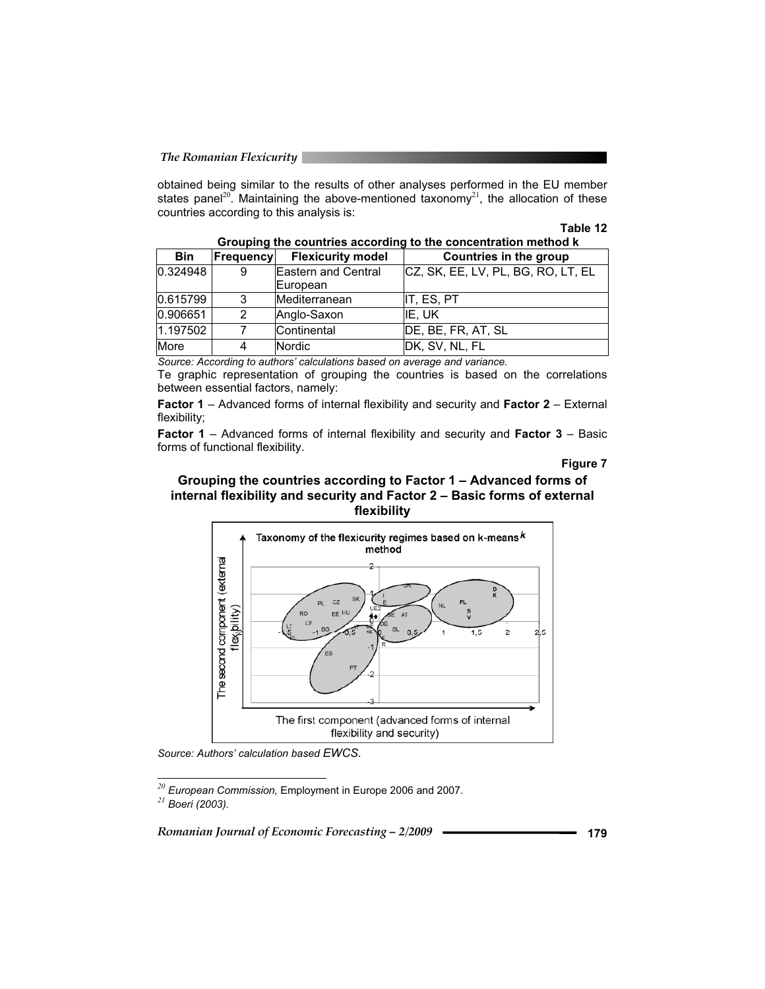obtained being similar to the results of other analyses performed in the EU member states panel<sup>20</sup>. Maintaining the above-mentioned taxonomy<sup>21</sup>, the allocation of these countries according to this analysis is:

#### **Table 12**

| Grouping the countries according to the concentration method k |           |                          |                                    |  |  |
|----------------------------------------------------------------|-----------|--------------------------|------------------------------------|--|--|
| <b>Bin</b>                                                     | Frequency | <b>Flexicurity model</b> | <b>Countries in the group</b>      |  |  |
| 0.324948                                                       | 9         | Eastern and Central      | CZ, SK, EE, LV, PL, BG, RO, LT, EL |  |  |
|                                                                |           | European                 |                                    |  |  |
| 0.615799                                                       | 3         | Mediterranean            | IT, ES, PT                         |  |  |
| 0.906651                                                       | 2         | Anglo-Saxon              | IE. UK                             |  |  |
| 1.197502                                                       |           | Continental              | DE, BE, FR, AT, SL                 |  |  |
| More                                                           | 4         | Nordic                   | DK, SV, NL, FL                     |  |  |

*Source: According to authors' calculations based on average and variance.* 

Te graphic representation of grouping the countries is based on the correlations between essential factors, namely:

**Factor 1** – Advanced forms of internal flexibility and security and **Factor 2** – External flexibility;

**Factor 1** – Advanced forms of internal flexibility and security and **Factor 3** – Basic forms of functional flexibility.

**Figure 7** 





*Source: Authors' calculation based EWCS.*

*<sup>20</sup> European Commission,* Employment in Europe 2006 and 2007. *<sup>21</sup> Boeri (2003).*

֦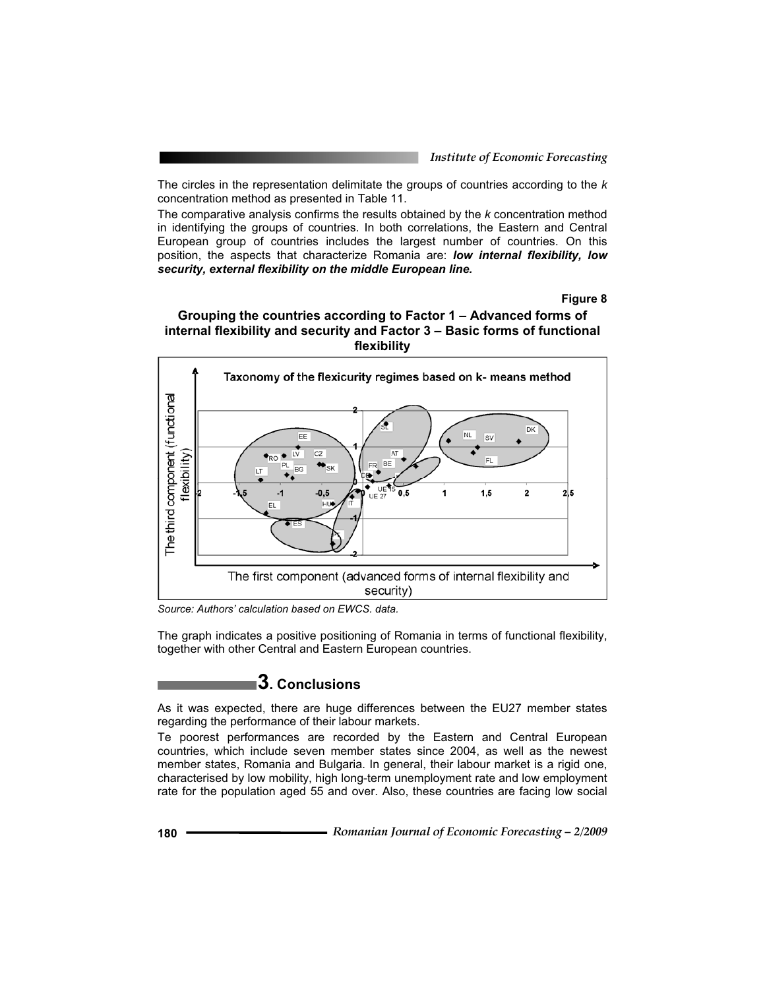The circles in the representation delimitate the groups of countries according to the *k* concentration method as presented in Table 11.

The comparative analysis confirms the results obtained by the *k* concentration method in identifying the groups of countries. In both correlations, the Eastern and Central European group of countries includes the largest number of countries. On this position, the aspects that characterize Romania are: *low internal flexibility, low security, external flexibility on the middle European line.*

**Figure 8** 





*Source: Authors' calculation based on EWCS. data.* 

The graph indicates a positive positioning of Romania in terms of functional flexibility, together with other Central and Eastern European countries.

# **3. Conclusions**

As it was expected, there are huge differences between the EU27 member states regarding the performance of their labour markets.

Te poorest performances are recorded by the Eastern and Central European countries, which include seven member states since 2004, as well as the newest member states, Romania and Bulgaria. In general, their labour market is a rigid one, characterised by low mobility, high long-term unemployment rate and low employment rate for the population aged 55 and over. Also, these countries are facing low social

**<sup>180</sup>***Romanian Journal of Economic Forecasting – 2/2009*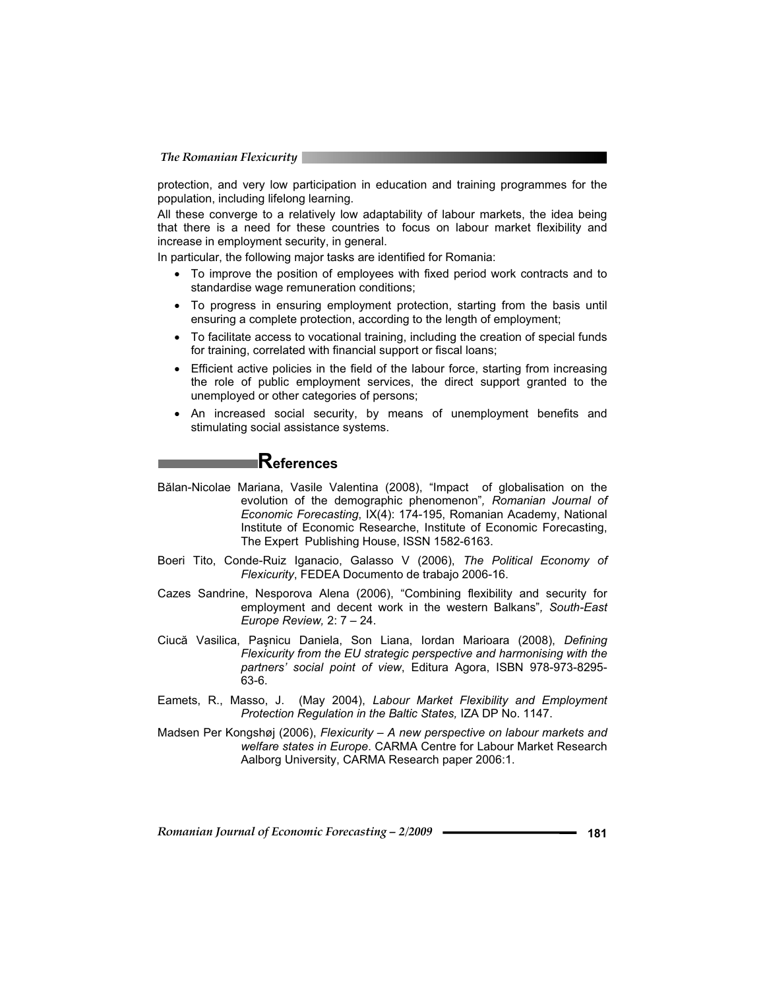protection, and very low participation in education and training programmes for the population, including lifelong learning.

All these converge to a relatively low adaptability of labour markets, the idea being that there is a need for these countries to focus on labour market flexibility and increase in employment security, in general.

In particular, the following major tasks are identified for Romania:

- To improve the position of employees with fixed period work contracts and to standardise wage remuneration conditions;
- To progress in ensuring employment protection, starting from the basis until ensuring a complete protection, according to the length of employment;
- To facilitate access to vocational training, including the creation of special funds for training, correlated with financial support or fiscal loans;
- Efficient active policies in the field of the labour force, starting from increasing the role of public employment services, the direct support granted to the unemployed or other categories of persons;
- An increased social security, by means of unemployment benefits and stimulating social assistance systems.

# **References**

- Bălan-Nicolae Mariana, Vasile Valentina (2008), "Impact of globalisation on the evolution of the demographic phenomenon"*, Romanian Journal of Economic Forecasting*, IX(4): 174-195, Romanian Academy, National Institute of Economic Researche, Institute of Economic Forecasting, The Expert Publishing House, ISSN 1582-6163.
- Boeri Tito, Conde-Ruiz Iganacio, Galasso V (2006), *The Political Economy of Flexicurity*, FEDEA Documento de trabajo 2006-16.
- Cazes Sandrine, Nesporova Alena (2006), "Combining flexibility and security for employment and decent work in the western Balkans"*, South-East Europe Review,* 2: 7 – 24.
- Ciucă Vasilica, Paşnicu Daniela, Son Liana, Iordan Marioara (2008), *Defining Flexicurity from the EU strategic perspective and harmonising with the partners' social point of view*, Editura Agora, ISBN 978-973-8295- 63-6.
- Eamets, R., Masso, J. (May 2004), *Labour Market Flexibility and Employment Protection Regulation in the Baltic States,* IZA DP No. 1147.
- Madsen Per Kongshøj (2006), *Flexicurity A new perspective on labour markets and welfare states in Europe*. CARMA Centre for Labour Market Research Aalborg University, CARMA Research paper 2006:1.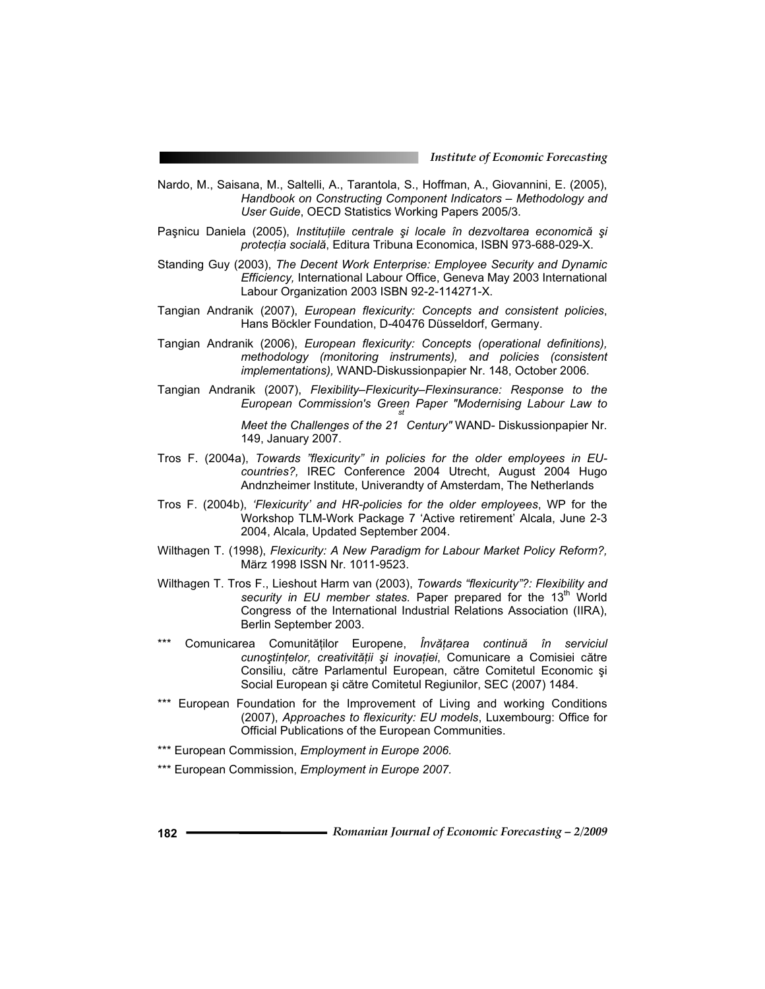- Nardo, M., Saisana, M., Saltelli, A., Tarantola, S., Hoffman, A., Giovannini, E. (2005), *Handbook on Constructing Component Indicators – Methodology and User Guide*, OECD Statistics Working Papers 2005/3.
- Paşnicu Daniela (2005), *Instituțiile centrale și locale în dezvoltarea economică și protecția socială*, Editura Tribuna Economica, ISBN 973-688-029-X.
- Standing Guy (2003), *The Decent Work Enterprise: Employee Security and Dynamic Efficiency,* International Labour Office, Geneva May 2003 International Labour Organization 2003 ISBN 92-2-114271-X.
- Tangian Andranik (2007), *European flexicurity: Concepts and consistent policies*, Hans Böckler Foundation, D-40476 Düsseldorf, Germany.
- Tangian Andranik (2006), *European flexicurity: Concepts (operational definitions), methodology (monitoring instruments), and policies (consistent implementations),* WAND-Diskussionpapier Nr. 148, October 2006.
- Tangian Andranik (2007), *Flexibility–Flexicurity–Flexinsurance: Response to the European Commission's Green Paper "Modernising Labour Law to st*

Meet the Challenges of the 21 Century" WAND- Diskussionpapier Nr. 149, January 2007.

- Tros F. (2004a), *Towards "flexicurity" in policies for the older employees in EUcountries?,* IREC Conference 2004 Utrecht, August 2004 Hugo Andnzheimer Institute, Univerandty of Amsterdam, The Netherlands
- Tros F. (2004b), *'Flexicurity' and HR-policies for the older employees*, WP for the Workshop TLM-Work Package 7 'Active retirement' Alcala, June 2-3 2004, Alcala, Updated September 2004.
- Wilthagen T. (1998), *Flexicurity: A New Paradigm for Labour Market Policy Reform?,* März 1998 ISSN Nr. 1011-9523.
- Wilthagen T. Tros F., Lieshout Harm van (2003), *Towards "flexicurity"?: Flexibility and*  security in EU member states. Paper prepared for the 13<sup>th</sup> World Congress of the International Industrial Relations Association (IIRA), Berlin September 2003.
- \*\*\* Comunicarea Comunităților Europene, *Învățarea continuă în serviciul* cunoștințelor, creativității și inovației, Comunicare a Comisiei către Consiliu, către Parlamentul European, către Comitetul Economic și Social European și către Comitetul Regiunilor, SEC (2007) 1484.
- \*\*\* European Foundation for the Improvement of Living and working Conditions (2007), *Approaches to flexicurity: EU models*, Luxembourg: Office for Official Publications of the European Communities.
- \*\*\* European Commission, *Employment in Europe 2006.*
- \*\*\* European Commission, *Employment in Europe 2007.*